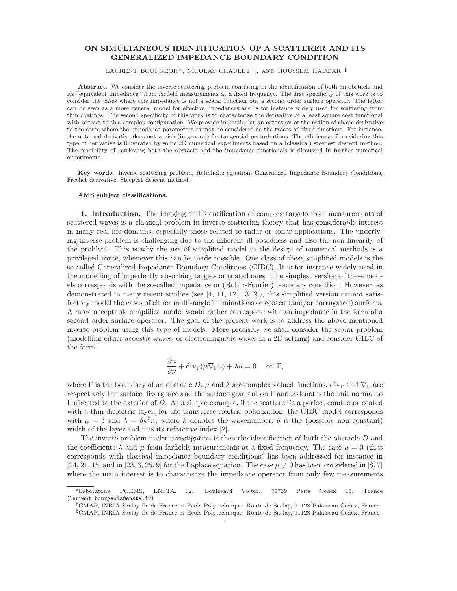## ON SIMULTANEOUS IDENTIFICATION OF A SCATTERER AND ITS GENERALIZED IMPEDANCE BOUNDARY CONDITION

## LAURENT BOURGEOIS∗, NICOLAS CHAULET † , AND HOUSSEM HADDAR ‡

Abstract. We consider the inverse scattering problem consisting in the identification of both an obstacle and its "equivalent impedance" from farfield measurements at a fixed frequency. The first specificity of this work is to consider the cases where this impedance is not a scalar function but a second order surface operator. The latter can be seen as a more general model for effective impedances and is for instance widely used for scattering from thin coatings. The second specificity of this work is to characterize the derivative of a least square cost functional with respect to this complex configuration. We provide in particular an extension of the notion of shape derivative to the cases where the impedance parameters cannot be considered as the traces of given functions. For instance, the obtained derivative does not vanish (in general) for tangential perturbations. The efficiency of considering this type of derivative is illustrated by some 2D numerical experiments based on a (classical) steepest descent method. The feasibility of retrieving both the obstacle and the impedance functionals is discussed in further numerical experiments.

Key words. Inverse scattering problem, Helmholtz equation, Generalized Impedance Boundary Conditions, Fréchet derivative, Steepest descent method.

## AMS subject classifications.

1. Introduction. The imaging and identification of complex targets from measurements of scattered waves is a classical problem in inverse scattering theory that has considerable interest in many real life domains, especially those related to radar or sonar applications. The underlying inverse problem is challenging due to the inherent ill posedness and also the non linearity of the problem. This is why the use of simplified model in the design of numerical methods is a privileged route, whenever this can be made possible. One class of these simplified models is the so-called Generalized Impedance Boundary Conditions (GIBC). It is for instance widely used in the modelling of imperfectly absorbing targets or coated ones. The simplest version of these models corresponds with the so-called impedance or (Robin-Fourier) boundary condition. However, as demonstrated in many recent studies (see  $[4, 11, 12, 13, 2]$ ), this simplified version cannot satisfactory model the cases of either multi-angle illuminations or coated (and/or corrugated) surfaces. A more acceptable simplified model would rather correspond with an impedance in the form of a second order surface operator. The goal of the present work is to address the above mentioned inverse problem using this type of models. More precisely we shall consider the scalar problem (modelling either acoustic waves, or electromagnetic waves in a 2D setting) and consider GIBC of the form

$$
\frac{\partial u}{\partial \nu} + \text{div}_{\Gamma}(\mu \nabla_{\Gamma} u) + \lambda u = 0 \quad \text{on } \Gamma,
$$

where Γ is the boundary of an obstacle D,  $\mu$  and  $\lambda$  are complex valued functions, div<sub>Γ</sub> and  $\nabla_{\Gamma}$  are respectively the surface divergence and the surface gradient on  $\Gamma$  and  $\nu$  denotes the unit normal to  $Γ$  directed to the exterior of D. As a simple example, if the scatterer is a perfect conductor coated with a thin dielectric layer, for the transverse electric polarization, the GIBC model corresponds with  $\mu = \delta$  and  $\lambda = \delta k^2 n$ , where k denotes the wavenumber,  $\delta$  is the (possibly non constant) width of the layer and  $n$  is its refractive index [2].

The inverse problem under investigation is then the identification of both the obstacle D and the coefficients  $\lambda$  and  $\mu$  from farfields measurements at a fixed frequency. The case  $\mu = 0$  (that corresponds with classical impedance boundary conditions) has been addressed for instance in [24, 21, 15] and in [23, 3, 25, 9] for the Laplace equation. The case  $\mu \neq 0$  has been considered in [8, 7] where the main interest is to characterize the impedance operator from only few measurements

<sup>∗</sup>Laboratoire POEMS, ENSTA, 32, Boulevard Victor, 75739 Paris Cedex 15, France (laurent.bourgeois@ensta.fr)

<sup>†</sup>CMAP, INRIA Saclay Ile de France et Ecole Polytechnique, Route de Saclay, 91128 Palaiseau Cedex, France ‡CMAP, INRIA Saclay Ile de France et Ecole Polytechnique, Route de Saclay, 91128 Palaiseau Cedex, France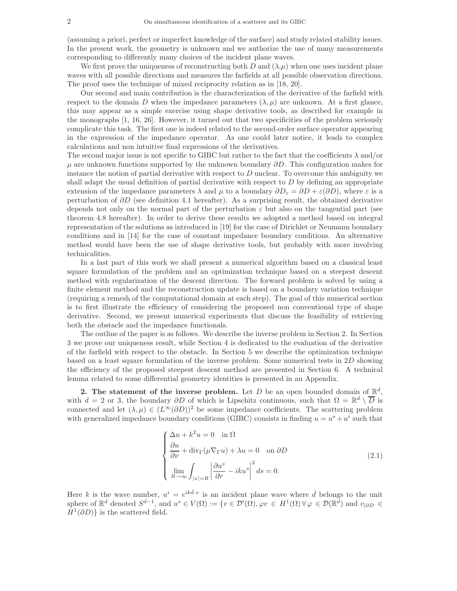(assuming a priori, perfect or imperfect knowledge of the surface) and study related stability issues. In the present work, the geometry is unknown and we authorize the use of many measurements corresponding to differently many choices of the incident plane waves.

We first prove the uniqueness of reconstructing both D and  $(\lambda,\mu)$  when one uses incident plane waves with all possible directions and measures the farfields at all possible observation directions. The proof uses the technique of mixed reciprocity relation as in [18, 20].

Our second and main contribution is the characterization of the derivative of the farfield with respect to the domain D when the impedance parameters  $(\lambda, \mu)$  are unknown. At a first glance, this may appear as a simple exercise using shape derivative tools, as described for example in the monographs [1, 16, 26]. However, it turned out that two specificities of the problem seriously complicate this task. The first one is indeed related to the second-order surface operator appearing in the expression of the impedance operator. As one could later notice, it leads to complex calculations and non intuitive final expressions of the derivatives.

The second major issue is not specific to GIBC but rather to the fact that the coefficients  $\lambda$  and/or  $\mu$  are unknown functions supported by the unknown boundary  $\partial D$ . This configuration makes for instance the notion of partial derivative with respect to  $D$  unclear. To overcome this ambiguity we shall adapt the usual definition of partial derivative with respect to  $D$  by defining an appropriate extension of the impedance parameters  $\lambda$  and  $\mu$  to a boundary  $\partial D_{\varepsilon} = \partial D + \varepsilon(\partial D)$ , where  $\varepsilon$  is a perturbation of  $\partial D$  (see definition 4.1 hereafter). As a surprising result, the obtained derivative depends not only on the normal part of the perturbation  $\varepsilon$  but also on the tangential part (see theorem 4.8 hereafter). In order to derive these results we adopted a method based on integral representation of the solutions as introduced in [19] for the case of Dirichlet or Neumann boundary conditions and in [14] for the case of constant impedance boundary conditions. An alternative method would have been the use of shape derivative tools, but probably with more involving technicalities.

In a last part of this work we shall present a numerical algorithm based on a classical least square formulation of the problem and an optimization technique based on a steepest descent method with regularization of the descent direction. The forward problem is solved by using a finite element method and the reconstruction update is based on a boundary variation technique (requiring a remesh of the computational domain at each step). The goal of this numerical section is to first illustrate the efficiency of considering the proposed non conventional type of shape derivative. Second, we present numerical experiments that discuss the feasibility of retrieving both the obstacle and the impedance functionals.

The outline of the paper is as follows. We describe the inverse problem in Section 2. In Section 3 we prove our uniqueness result, while Section 4 is dedicated to the evaluation of the derivative of the farfield with respect to the obstacle. In Section 5 we describe the optimization technique based on a least square formulation of the inverse problem. Some numerical tests in 2D showing the efficiency of the proposed steepest descent method are presented in Section 6. A technical lemma related to some differential geometry identities is presented in an Appendix.

2. The statement of the inverse problem. Let D be an open bounded domain of  $\mathbb{R}^d$ , with  $d = 2$  or 3, the boundary  $\partial D$  of which is Lipschitz continuous, such that  $\Omega = \mathbb{R}^d \setminus \overline{D}$  is connected and let  $(\lambda, \mu) \in (L^{\infty}(\partial D))^2$  be some impedance coefficients. The scattering problem with generalized impedance boundary conditions (GIBC) consists in finding  $u = u^s + u^i$  such that

$$
\begin{cases}\n\Delta u + k^2 u = 0 & \text{in } \Omega \\
\frac{\partial u}{\partial \nu} + \text{div}_{\Gamma}(\mu \nabla_{\Gamma} u) + \lambda u = 0 & \text{on } \partial D \\
\lim_{R \to \infty} \int_{|x| = R} \left| \frac{\partial u^s}{\partial r} - iku^s \right|^2 ds = 0.\n\end{cases}
$$
\n(2.1)

Here k is the wave number,  $u^i = e^{ik\hat{d}\cdot x}$  is an incident plane wave where  $\hat{d}$  belongs to the unit sphere of  $\mathbb{R}^d$  denoted  $S^{d-1}$ , and  $u^s \in V(\Omega) := \{v \in \mathcal{D}'(\Omega), \varphi v \in H^1(\Omega) \,\forall \varphi \in \mathcal{D}(\mathbb{R}^d) \text{ and } v_{|\partial D} \in$  $H^1(\partial D)$  is the scattered field.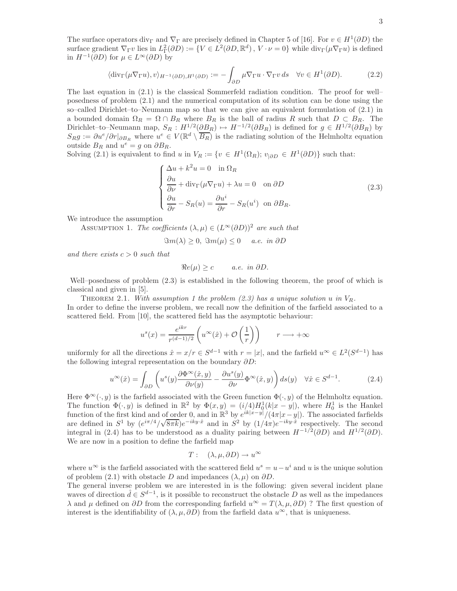The surface operators div<sub>Γ</sub> and  $\nabla_{\Gamma}$  are precisely defined in Chapter 5 of [16]. For  $v \in H^1(\partial D)$  the surface gradient  $\nabla_{\Gamma} v$  lies in  $L^2_{\Gamma}(\partial D) := \{ V \in L^2(\partial D, \mathbb{R}^d) , V \cdot \nu = 0 \}$  while  $\text{div}_{\Gamma}(\mu \nabla_{\Gamma} u)$  is defined in  $H^{-1}(\partial D)$  for  $\mu \in L^{\infty}(\partial D)$  by

$$
\langle \operatorname{div}_{\Gamma}(\mu \nabla_{\Gamma} u), v \rangle_{H^{-1}(\partial D), H^{1}(\partial D)} := - \int_{\partial D} \mu \nabla_{\Gamma} u \cdot \nabla_{\Gamma} v \, ds \quad \forall v \in H^{1}(\partial D). \tag{2.2}
$$

The last equation in (2.1) is the classical Sommerfeld radiation condition. The proof for well– posedness of problem (2.1) and the numerical computation of its solution can be done using the so–called Dirichlet–to–Neumann map so that we can give an equivalent formulation of (2.1) in a bounded domain  $\Omega_R = \Omega \cap B_R$  where  $B_R$  is the ball of radius R such that  $D \subset B_R$ . The Dirichlet–to–Neumann map,  $S_R: H^{1/2}(\partial B_R) \mapsto H^{-1/2}(\partial B_R)$  is defined for  $g \in H^{1/2}(\partial B_R)$  by  $S_R g := \partial u^e / \partial r |_{\partial B_R}$  where  $u^e \in V(\mathbb{R}^d \setminus \overline{B_R})$  is the radiating solution of the Helmholtz equation outside  $B_R$  and  $u^e = g$  on  $\partial B_R$ .

Solving (2.1) is equivalent to find u in  $V_R := \{v \in H^1(\Omega_R); v_{|\partial D} \in H^1(\partial D)\}\$  such that:

$$
\begin{cases}\n\Delta u + k^2 u = 0 & \text{in } \Omega_R \\
\frac{\partial u}{\partial \nu} + \text{div}_{\Gamma}(\mu \nabla_{\Gamma} u) + \lambda u = 0 & \text{on } \partial D \\
\frac{\partial u}{\partial r} - S_R(u) = \frac{\partial u^i}{\partial r} - S_R(u^i) & \text{on } \partial B_R.\n\end{cases}
$$
\n(2.3)

We introduce the assumption

ASSUMPTION 1. *The coefficients*  $(\lambda, \mu) \in (L^{\infty}(\partial D))^2$  *are such that* 

$$
\Im m(\lambda) \ge 0, \ \Im m(\mu) \le 0 \quad \text{a.e. in } \partial D
$$

*and there exists*  $c > 0$  *such that* 

$$
\Re e(\mu) \ge c \qquad a.e. \in \partial D.
$$

Well–posedness of problem (2.3) is established in the following theorem, the proof of which is classical and given in [5].

THEOREM 2.1. With assumption 1 the problem  $(2.3)$  has a unique solution u in  $V_R$ . In order to define the inverse problem, we recall now the definition of the farfield associated to a scattered field. From [10], the scattered field has the asymptotic behaviour:

$$
u^{s}(x) = \frac{e^{ikr}}{r^{(d-1)/2}} \left( u^{\infty}(\hat{x}) + \mathcal{O}\left(\frac{1}{r}\right) \right) \qquad r \longrightarrow +\infty
$$

uniformly for all the directions  $\hat{x} = x/r \in S^{d-1}$  with  $r = |x|$ , and the farfield  $u^{\infty} \in L^2(S^{d-1})$  has the following integral representation on the boundary ∂D:

$$
u^{\infty}(\hat{x}) = \int_{\partial D} \left( u^s(y) \frac{\partial \Phi^{\infty}(\hat{x}, y)}{\partial \nu(y)} - \frac{\partial u^s(y)}{\partial \nu} \Phi^{\infty}(\hat{x}, y) \right) ds(y) \quad \forall \hat{x} \in S^{d-1}.
$$
 (2.4)

Here  $\Phi^{\infty}(\cdot, y)$  is the farfield associated with the Green function  $\Phi(\cdot, y)$  of the Helmholtz equation. The function  $\Phi(\cdot, y)$  is defined in  $\mathbb{R}^2$  by  $\Phi(x, y) = (i/4)H_0^1(k|x - y|)$ , where  $H_0^1$  is the Hankel function of the first kind and of order 0, and in  $\mathbb{R}^3$  by  $e^{ik|x-y|}/(4\pi|x-y|)$ . The associated farfields are defined in  $S^1$  by  $(e^{i\pi/4}/\sqrt{8\pi k})e^{-iky\cdot\hat{x}}$  and in  $S^2$  by  $(1/4\pi)e^{-iky\cdot\hat{x}}$  respectively. The second integral in (2.4) has to be understood as a duality pairing between  $H^{-1/2}(\partial D)$  and  $H^{1/2}(\partial D)$ . We are now in a position to define the farfield map

$$
T: (\lambda, \mu, \partial D) \to u^{\infty}
$$

where  $u^{\infty}$  is the farfield associated with the scattered field  $u^{s} = u - u^{i}$  and u is the unique solution of problem (2.1) with obstacle D and impedances  $(\lambda, \mu)$  on  $\partial D$ .

The general inverse problem we are interested in is the following: given several incident plane waves of direction  $\hat{d} \in S^{d-1}$ , is it possible to reconstruct the obstacle D as well as the impedances  $λ$  and  $μ$  defined on  $\partial D$  from the corresponding farfield  $u^∞ = T(λ, μ, ∂D)$ ? The first question of interest is the identifiability of  $(\lambda, \mu, \partial D)$  from the farfield data  $u^{\infty}$ , that is uniqueness.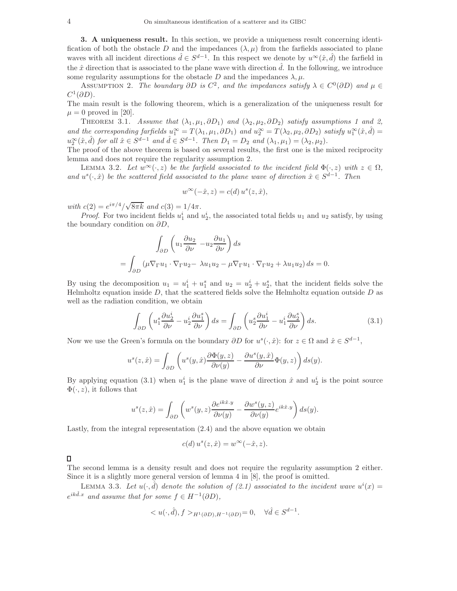3. A uniqueness result. In this section, we provide a uniqueness result concerning identification of both the obstacle D and the impedances  $(\lambda, \mu)$  from the farfields associated to plane waves with all incident directions  $\hat{d} \in S^{d-1}$ . In this respect we denote by  $u^{\infty}(\hat{x}, \hat{d})$  the farfield in the  $\hat{x}$  direction that is associated to the plane wave with direction  $\hat{d}$ . In the following, we introduce some regularity assumptions for the obstacle D and the impedances  $\lambda, \mu$ .

ASSUMPTION 2. *The boundary*  $\partial D$  *is*  $C^2$ , and the impedances satisfy  $\lambda \in C^0(\partial D)$  and  $\mu \in$  $C^1(\partial D)$ .

The main result is the following theorem, which is a generalization of the uniqueness result for  $\mu = 0$  proved in [20].

THEOREM 3.1. *Assume that*  $(\lambda_1, \mu_1, \partial D_1)$  *and*  $(\lambda_2, \mu_2, \partial D_2)$  *satisfy assumptions* 1 *and* 2, and the corresponding farfields  $u_1^{\infty} = T(\lambda_1, \mu_1, \partial D_1)$  and  $u_2^{\infty} = T(\lambda_2, \mu_2, \partial D_2)$  satisfy  $u_1^{\infty}(\hat{x}, \hat{d}) =$  $u_2^{\infty}(\hat{x}, \hat{d})$  for all  $\hat{x} \in S^{d-1}$  and  $\hat{d} \in S^{d-1}$ . Then  $D_1 = D_2$  and  $(\lambda_1, \mu_1) = (\lambda_2, \mu_2)$ .

The proof of the above theorem is based on several results, the first one is the mixed reciprocity lemma and does not require the regularity assumption 2.

LEMMA 3.2. Let  $w^{\infty}(\cdot, z)$  be the farfield associated to the incident field  $\Phi(\cdot, z)$  with  $z \in \Omega$ , and  $u^s(\cdot,\hat{x})$  be the scattered field associated to the plane wave of direction  $\hat{x} \in S^{d-1}$ . Then

$$
w^{\infty}(-\hat{x}, z) = c(d) u^{s}(z, \hat{x}),
$$

 $with \ c(2) = e^{i\pi/4}/\sqrt{8\pi k} \ and \ c(3) = 1/4\pi.$ 

*Proof.* For two incident fields  $u_1^i$  and  $u_2^i$ , the associated total fields  $u_1$  and  $u_2$  satisfy, by using the boundary condition on  $\partial D$ ,

$$
\int_{\partial D} \left( u_1 \frac{\partial u_2}{\partial \nu} - u_2 \frac{\partial u_1}{\partial \nu} \right) ds
$$
  
= 
$$
\int_{\partial D} \left( \mu \nabla_{\Gamma} u_1 \cdot \nabla_{\Gamma} u_2 - \lambda u_1 u_2 - \mu \nabla_{\Gamma} u_1 \cdot \nabla_{\Gamma} u_2 + \lambda u_1 u_2 \right) ds = 0.
$$

By using the decomposition  $u_1 = u_1^i + u_1^s$  and  $u_2 = u_2^i + u_2^s$ , that the incident fields solve the Helmholtz equation inside  $D$ , that the scattered fields solve the Helmholtz equation outside  $D$  as well as the radiation condition, we obtain

$$
\int_{\partial D} \left( u_1^s \frac{\partial u_2^i}{\partial \nu} - u_2^i \frac{\partial u_1^s}{\partial \nu} \right) ds = \int_{\partial D} \left( u_2^s \frac{\partial u_1^i}{\partial \nu} - u_1^i \frac{\partial u_2^s}{\partial \nu} \right) ds. \tag{3.1}
$$

Now we use the Green's formula on the boundary  $\partial D$  for  $u^s(\cdot,\hat{x})$ : for  $z \in \Omega$  and  $\hat{x} \in S^{d-1}$ ,

$$
u^{s}(z, \hat{x}) = \int_{\partial D} \left( u^{s}(y, \hat{x}) \frac{\partial \Phi(y, z)}{\partial \nu(y)} - \frac{\partial u^{s}(y, \hat{x})}{\partial \nu} \Phi(y, z) \right) ds(y).
$$

By applying equation (3.1) when  $u_1^i$  is the plane wave of direction  $\hat{x}$  and  $u_2^i$  is the point source  $\Phi(\cdot, z)$ , it follows that

$$
u^{s}(z, \hat{x}) = \int_{\partial D} \left( w^{s}(y, z) \frac{\partial e^{ik\hat{x}.y}}{\partial \nu(y)} - \frac{\partial w^{s}(y, z)}{\partial \nu(y)} e^{ik\hat{x}.y} \right) ds(y).
$$

Lastly, from the integral representation (2.4) and the above equation we obtain

$$
c(d) u^s(z, \hat{x}) = w^\infty(-\hat{x}, z).
$$

 $\Box$ 

The second lemma is a density result and does not require the regularity assumption 2 either. Since it is a slightly more general version of lemma 4 in [8], the proof is omitted.

LEMMA 3.3. Let  $u(\cdot, \hat{d})$  denote the solution of (2.1) associated to the incident wave  $u^{i}(x) =$  $e^{ik\hat{d}.x}$  and assume that for some  $f \in H^{-1}(\partial D)$ ,

$$
\langle u(\cdot,\hat d), f\rangle_{H^1(\partial D),H^{-1}(\partial D)}=0, \quad \forall \hat d\in S^{d-1}.
$$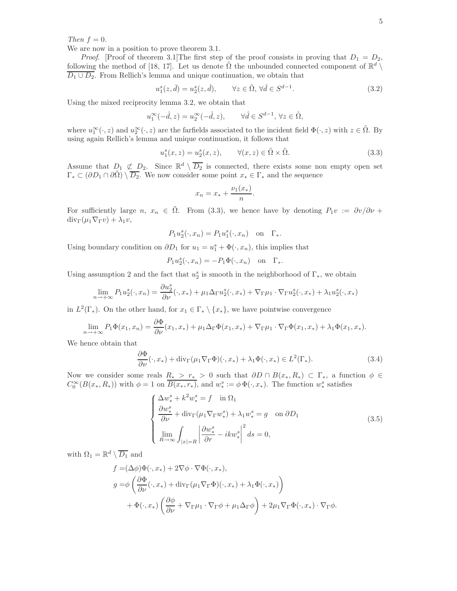*Then*  $f = 0$ *.* 

We are now in a position to prove theorem 3.1.

*Proof.* [Proof of theorem 3.1]The first step of the proof consists in proving that  $D_1 = D_2$ , following the method of [18, 17]. Let us denote  $\tilde{\Omega}$  the unbounded connected component of  $\mathbb{R}^d \setminus$  $\overline{D_1 \cup D_2}$ . From Rellich's lemma and unique continuation, we obtain that

$$
u_1^s(z, \hat{d}) = u_2^s(z, \hat{d}), \qquad \forall z \in \tilde{\Omega}, \forall \hat{d} \in S^{d-1}.
$$
\n(3.2)

Using the mixed reciprocity lemma 3.2, we obtain that

$$
u_1^{\infty}(-\hat{d}, z) = u_2^{\infty}(-\hat{d}, z), \qquad \forall \hat{d} \in S^{d-1}, \, \forall z \in \tilde{\Omega},
$$

where  $u_1^{\infty}(\cdot, z)$  and  $u_2^{\infty}(\cdot, z)$  are the farfields associated to the incident field  $\Phi(\cdot, z)$  with  $z \in \tilde{\Omega}$ . By using again Rellich's lemma and unique continuation, it follows that

$$
u_1^s(x, z) = u_2^s(x, z), \qquad \forall (x, z) \in \tilde{\Omega} \times \tilde{\Omega}.
$$
\n(3.3)

Assume that  $D_1 \not\subset D_2$ . Since  $\mathbb{R}^d \setminus \overline{D_2}$  is connected, there exists some non empty open set  $\Gamma_* \subset (\partial D_1 \cap \partial \tilde{\Omega}) \setminus \overline{D_2}$ . We now consider some point  $x_* \in \Gamma_*$  and the sequence

$$
x_n = x_* + \frac{\nu_1(x_*)}{n}.
$$

For sufficiently large n,  $x_n \in \tilde{\Omega}$ . From (3.3), we hence have by denoting  $P_1v := \partial v/\partial \nu +$  $div_{\Gamma}(\mu_1 \nabla_{\Gamma} v) + \lambda_1 v$ ,

$$
P_1 u_2^s(\cdot, x_n) = P_1 u_1^s(\cdot, x_n) \quad \text{on} \quad \Gamma_*.
$$

Using boundary condition on  $\partial D_1$  for  $u_1 = u_1^s + \Phi(\cdot, x_n)$ , this implies that

$$
P_1 u_2^s(\cdot, x_n) = -P_1 \Phi(\cdot, x_n) \quad \text{on} \quad \Gamma_*.
$$

Using assumption 2 and the fact that  $u_2^s$  is smooth in the neighborhood of  $\Gamma_*$ , we obtain

$$
\lim_{n \to +\infty} P_1 u_2^s(\cdot, x_n) = \frac{\partial u_2^s}{\partial \nu}(\cdot, x_*) + \mu_1 \Delta_{\Gamma} u_2^s(\cdot, x_*) + \nabla_{\Gamma} \mu_1 \cdot \nabla_{\Gamma} u_2^s(\cdot, x_*) + \lambda_1 u_2^s(\cdot, x_*)
$$

in  $L^2(\Gamma_*)$ . On the other hand, for  $x_1 \in \Gamma_* \setminus \{x_*\}$ , we have pointwise convergence

$$
\lim_{n \to +\infty} P_1 \Phi(x_1, x_n) = \frac{\partial \Phi}{\partial \nu}(x_1, x_*) + \mu_1 \Delta_{\Gamma} \Phi(x_1, x_*) + \nabla_{\Gamma} \mu_1 \cdot \nabla_{\Gamma} \Phi(x_1, x_*) + \lambda_1 \Phi(x_1, x_*).
$$

We hence obtain that

$$
\frac{\partial \Phi}{\partial \nu}(\cdot, x_*) + \text{div}_{\Gamma}(\mu_1 \nabla_{\Gamma} \Phi)(\cdot, x_*) + \lambda_1 \Phi(\cdot, x_*) \in L^2(\Gamma_*). \tag{3.4}
$$

Now we consider some reals  $\underline{R_*} > r_* > 0$  such that  $\partial D \cap B(x_*, R_*) \subset \Gamma_*$ , a function  $\phi \in$  $C_0^{\infty}(B(x_*,R_*))$  with  $\phi = 1$  on  $\overline{B(x_*,r_*)}$ , and  $w_*^s := \phi \Phi(\cdot, x_*)$ . The function  $w_*^s$  satisfies

$$
\begin{cases}\n\Delta w_*^s + k^2 w_*^s = f & \text{in } \Omega_1 \\
\frac{\partial w_*^s}{\partial \nu} + \text{div}_{\Gamma}(\mu_1 \nabla_{\Gamma} w_*^s) + \lambda_1 w_*^s = g & \text{on } \partial D_1 \\
\lim_{R \to \infty} \int_{|x| = R} \left| \frac{\partial w_*^s}{\partial r} - ik w_*^s \right|^2 ds = 0,\n\end{cases}
$$
\n(3.5)

with  $\Omega_1 = \mathbb{R}^d \setminus \overline{D_1}$  and

$$
f = (\Delta \phi) \Phi(\cdot, x_*) + 2 \nabla \phi \cdot \nabla \Phi(\cdot, x_*),
$$
  
\n
$$
g = \phi \left( \frac{\partial \Phi}{\partial \nu}(\cdot, x_*) + \text{div}_{\Gamma} (\mu_1 \nabla_{\Gamma} \Phi)(\cdot, x_*) + \lambda_1 \Phi(\cdot, x_*) \right)
$$
  
\n
$$
+ \Phi(\cdot, x_*) \left( \frac{\partial \phi}{\partial \nu} + \nabla_{\Gamma} \mu_1 \cdot \nabla_{\Gamma} \phi + \mu_1 \Delta_{\Gamma} \phi \right) + 2 \mu_1 \nabla_{\Gamma} \Phi(\cdot, x_*) \cdot \nabla_{\Gamma} \phi.
$$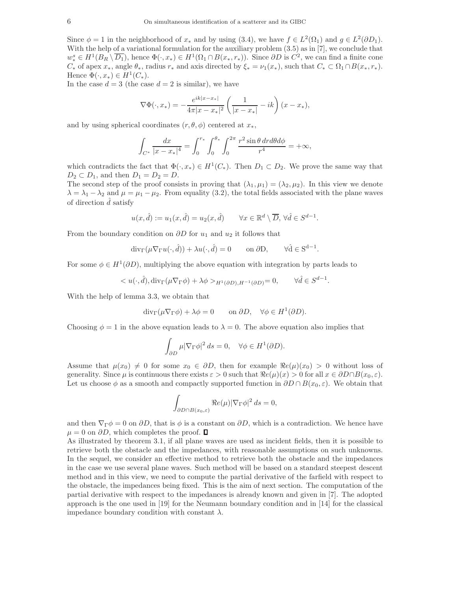Since  $\phi = 1$  in the neighborhood of  $x_*$  and by using (3.4), we have  $f \in L^2(\Omega_1)$  and  $g \in L^2(\partial D_1)$ . With the help of a variational formulation for the auxiliary problem (3.5) as in [7], we conclude that  $w_*^s \in H^1(B_R \setminus \overline{D_1})$ , hence  $\Phi(\cdot, x_*) \in H^1(\Omega_1 \cap B(x_*, r_*))$ . Since  $\partial D$  is  $C^2$ , we can find a finite cone  $C_*$  of apex  $x_*$ , angle  $\theta_*$ , radius  $r_*$  and axis directed by  $\xi_* = \nu_1(x_*)$ , such that  $C_* \subset \Omega_1 \cap B(x_*, r_*)$ . Hence  $\Phi(\cdot, x_*) \in H^1(C_*)$ .

In the case  $d = 3$  (the case  $d = 2$  is similar), we have

$$
\nabla \Phi(\cdot, x_*) = -\frac{e^{ik|x-x_*|}}{4\pi |x-x_*|^2} \left(\frac{1}{|x-x_*|} - ik\right) (x-x_*),
$$

and by using spherical coordinates  $(r, \theta, \phi)$  centered at  $x_*$ ,

$$
\int_{C^*} \frac{dx}{|x - x_*|^4} = \int_0^{r_*} \int_0^{\theta_*} \int_0^{2\pi} \frac{r^2 \sin \theta \, dr d\theta d\phi}{r^4} = +\infty,
$$

which contradicts the fact that  $\Phi(\cdot, x_*) \in H^1(C_*)$ . Then  $D_1 \subset D_2$ . We prove the same way that  $D_2 \subset D_1$ , and then  $D_1 = D_2 = D$ .

The second step of the proof consists in proving that  $(\lambda_1, \mu_1) = (\lambda_2, \mu_2)$ . In this view we denote  $\lambda = \lambda_1 - \lambda_2$  and  $\mu = \mu_1 - \mu_2$ . From equality (3.2), the total fields associated with the plane waves of direction  $\hat{d}$  satisfy

$$
u(x, \hat{d}) := u_1(x, \hat{d}) = u_2(x, \hat{d}) \qquad \forall x \in \mathbb{R}^d \setminus \overline{D}, \forall \hat{d} \in S^{d-1}.
$$

From the boundary condition on  $\partial D$  for  $u_1$  and  $u_2$  it follows that

$$
\operatorname{div}_{\Gamma}(\mu \nabla_{\Gamma} u(\cdot, \hat{d})) + \lambda u(\cdot, \hat{d}) = 0 \quad \text{on } \partial D, \quad \forall \hat{d} \in S^{d-1}.
$$

For some  $\phi \in H^1(\partial D)$ , multiplying the above equation with integration by parts leads to

$$
\langle u(\cdot,\hat{d}),\mathrm{div}_{\Gamma}(\mu\nabla_{\Gamma}\phi)+\lambda\phi\rangle_{H^1(\partial D),H^{-1}(\partial D)}=0,\qquad\forall\hat{d}\in S^{d-1}.
$$

With the help of lemma 3.3, we obtain that

$$
\operatorname{div}_{\Gamma}(\mu \nabla_{\Gamma} \phi) + \lambda \phi = 0 \quad \text{on } \partial D, \quad \forall \phi \in H^1(\partial D).
$$

Choosing  $\phi = 1$  in the above equation leads to  $\lambda = 0$ . The above equation also implies that

$$
\int_{\partial D} \mu |\nabla_{\Gamma} \phi|^2 ds = 0, \quad \forall \phi \in H^1(\partial D).
$$

Assume that  $\mu(x_0) \neq 0$  for some  $x_0 \in \partial D$ , then for example  $\Re e(\mu)(x_0) > 0$  without loss of generality. Since  $\mu$  is continuous there exists  $\varepsilon > 0$  such that  $\Re e(\mu)(x) > 0$  for all  $x \in \partial D \cap B(x_0, \varepsilon)$ . Let us choose  $\phi$  as a smooth and compactly supported function in  $\partial D \cap B(x_0, \varepsilon)$ . We obtain that

$$
\int_{\partial D \cap B(x_0,\varepsilon)} \Re e(\mu) |\nabla_{\Gamma} \phi|^2 ds = 0,
$$

and then  $\nabla_{\Gamma}\phi = 0$  on  $\partial D$ , that is  $\phi$  is a constant on  $\partial D$ , which is a contradiction. We hence have  $\mu = 0$  on  $\partial D$ , which completes the proof.  $\Box$ 

As illustrated by theorem 3.1, if all plane waves are used as incident fields, then it is possible to retrieve both the obstacle and the impedances, with reasonable assumptions on such unknowns. In the sequel, we consider an effective method to retrieve both the obstacle and the impedances in the case we use several plane waves. Such method will be based on a standard steepest descent method and in this view, we need to compute the partial derivative of the farfield with respect to the obstacle, the impedances being fixed. This is the aim of next section. The computation of the partial derivative with respect to the impedances is already known and given in [7]. The adopted approach is the one used in [19] for the Neumann boundary condition and in [14] for the classical impedance boundary condition with constant  $\lambda$ .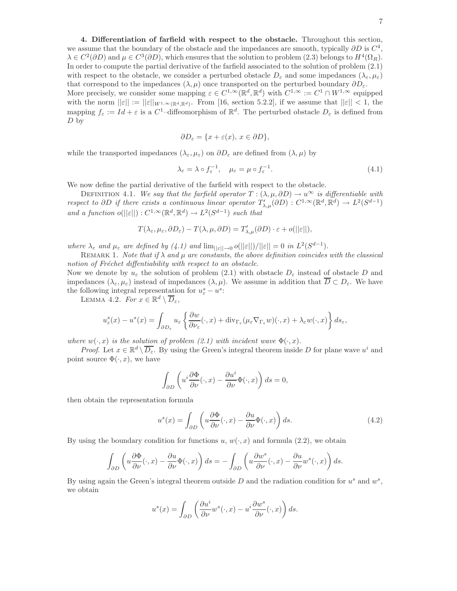7

4. Differentiation of farfield with respect to the obstacle. Throughout this section, we assume that the boundary of the obstacle and the impedances are smooth, typically  $\partial D$  is  $C^4$ ,  $\lambda \in C^2(\partial D)$  and  $\mu \in C^3(\partial D)$ , which ensures that the solution to problem (2.3) belongs to  $H^4(\Omega_R)$ . In order to compute the partial derivative of the farfield associated to the solution of problem (2.1) with respect to the obstacle, we consider a perturbed obstacle  $D_{\varepsilon}$  and some impedances  $(\lambda_{\varepsilon}, \mu_{\varepsilon})$ that correspond to the impedances  $(\lambda, \mu)$  once transported on the perturbed boundary  $\partial D_{\varepsilon}$ . More precisely, we consider some mapping  $\varepsilon \in C^{1,\infty}(\mathbb{R}^d, \mathbb{R}^d)$  with  $C^{1,\infty} := C^1 \cap W^{1,\infty}$  equipped with the norm  $||\varepsilon|| := ||\varepsilon||_{W^{1,\infty}(\mathbb{R}^d,\mathbb{R}^d)}$ . From [16, section 5.2.2], if we assume that  $||\varepsilon|| < 1$ , the mapping  $f_{\varepsilon} := Id + \varepsilon$  is a C<sup>1</sup>-diffeomorphism of  $\mathbb{R}^d$ . The perturbed obstacle  $D_{\varepsilon}$  is defined from  $D<sub>by</sub>$ 

$$
\partial D_{\varepsilon} = \{x + \varepsilon(x), \, x \in \partial D\},\
$$

while the transported impedances  $(\lambda_{\varepsilon}, \mu_{\varepsilon})$  on  $\partial D_{\varepsilon}$  are defined from  $(\lambda, \mu)$  by

$$
\lambda_{\varepsilon} = \lambda \circ f_{\varepsilon}^{-1}, \quad \mu_{\varepsilon} = \mu \circ f_{\varepsilon}^{-1}.
$$
\n(4.1)

We now define the partial derivative of the farfield with respect to the obstacle.

DEFINITION 4.1. *We say that the farfield operator*  $T : (\lambda, \mu, \partial D) \to u^{\infty}$  *is differentiable with respect to*  $\partial D$  *if there exists a continuous linear operator*  $T'_{\lambda,\mu}(\partial D)$  :  $C^{1,\infty}(\mathbb{R}^d, \mathbb{R}^d) \to L^2(S^{d-1})$ *and a function*  $o(||\varepsilon||) : C^{1,\infty}(\mathbb{R}^d, \mathbb{R}^d) \to L^2(S^{d-1})$  *such that* 

$$
T(\lambda_{\varepsilon},\mu_{\varepsilon},\partial D_{\varepsilon})-T(\lambda,\mu,\partial D)=T'_{\lambda,\mu}(\partial D)\cdot\varepsilon+o(||\varepsilon||),
$$

*where*  $\lambda_{\varepsilon}$  *and*  $\mu_{\varepsilon}$  *are defined by* (4.1) *and*  $\lim_{||\varepsilon|| \to 0} o(||\varepsilon||)/||\varepsilon|| = 0$  *in*  $L^2(S^{d-1})$ *.* 

REMARK 1. *Note that if*  $\lambda$  *and*  $\mu$  *are constants, the above definition coincides with the classical notion of Fréchet diffentiability with respect to an obstacle.* 

Now we denote by  $u_{\varepsilon}$  the solution of problem (2.1) with obstacle  $D_{\varepsilon}$  instead of obstacle D and impedances  $(\lambda_{\varepsilon}, \mu_{\varepsilon})$  instead of impedances  $(\lambda, \mu)$ . We assume in addition that  $\overline{D} \subset D_{\varepsilon}$ . We have the following integral representation for  $u_{\varepsilon}^{s} - u^{s}$ :

LEMMA 4.2. *For*  $x \in \mathbb{R}^d \setminus \overline{D}_{\varepsilon}$ ,

$$
u_{\varepsilon}^{s}(x) - u^{s}(x) = \int_{\partial D_{\varepsilon}} u_{\varepsilon} \left\{ \frac{\partial w}{\partial \nu_{\varepsilon}}(\cdot, x) + \text{div}_{\Gamma_{\varepsilon}} (\mu_{\varepsilon} \nabla_{\Gamma_{\varepsilon}} w)(\cdot, x) + \lambda_{\varepsilon} w(\cdot, x) \right\} ds_{\varepsilon},
$$

*where*  $w(\cdot, x)$  *is the solution of problem (2.1) with incident wave*  $\Phi(\cdot, x)$ *.* 

*Proof.* Let  $x \in \mathbb{R}^d \setminus \overline{D_{\varepsilon}}$ . By using the Green's integral theorem inside D for plane wave  $u^i$  and point source  $\Phi(\cdot, x)$ , we have

$$
\int_{\partial D} \left( u^i \frac{\partial \Phi}{\partial \nu} (\cdot, x) - \frac{\partial u^i}{\partial \nu} \Phi(\cdot, x) \right) ds = 0,
$$

then obtain the representation formula

$$
u^{s}(x) = \int_{\partial D} \left( u \frac{\partial \Phi}{\partial \nu}(\cdot, x) - \frac{\partial u}{\partial \nu} \Phi(\cdot, x) \right) ds.
$$
 (4.2)

By using the boundary condition for functions u,  $w(\cdot, x)$  and formula (2.2), we obtain

$$
\int_{\partial D} \left( u \frac{\partial \Phi}{\partial \nu}(\cdot, x) - \frac{\partial u}{\partial \nu} \Phi(\cdot, x) \right) ds = - \int_{\partial D} \left( u \frac{\partial w^s}{\partial \nu}(\cdot, x) - \frac{\partial u}{\partial \nu} w^s(\cdot, x) \right) ds.
$$

By using again the Green's integral theorem outside  $D$  and the radiation condition for  $u^s$  and  $w^s$ , we obtain

$$
u^{s}(x) = \int_{\partial D} \left( \frac{\partial u^{i}}{\partial \nu} w^{s}(\cdot, x) - u^{i} \frac{\partial w^{s}}{\partial \nu}(\cdot, x) \right) ds.
$$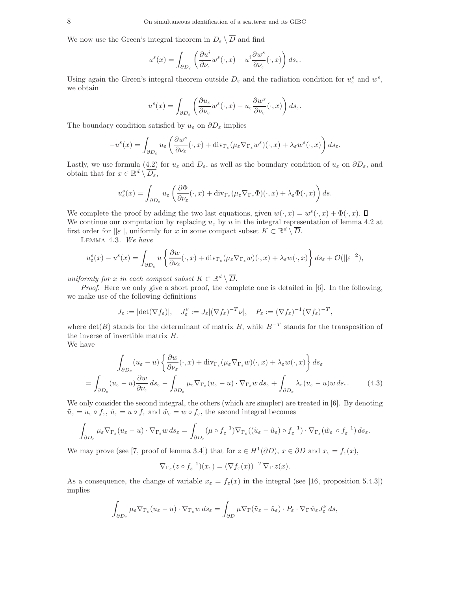We now use the Green's integral theorem in  $D_{\varepsilon} \setminus \overline{D}$  and find

$$
u^{s}(x) = \int_{\partial D_{\varepsilon}} \left( \frac{\partial u^{i}}{\partial \nu_{\varepsilon}} w^{s}(\cdot, x) - u^{i} \frac{\partial w^{s}}{\partial \nu_{\varepsilon}}(\cdot, x) \right) ds_{\varepsilon}.
$$

Using again the Green's integral theorem outside  $D_{\varepsilon}$  and the radiation condition for  $u_{\varepsilon}^{s}$  and  $w^{s}$ , we obtain

$$
u^{s}(x) = \int_{\partial D_{\varepsilon}} \left( \frac{\partial u_{\varepsilon}}{\partial \nu_{\varepsilon}} w^{s}(\cdot, x) - u_{\varepsilon} \frac{\partial w^{s}}{\partial \nu_{\varepsilon}}(\cdot, x) \right) ds_{\varepsilon}.
$$

The boundary condition satisfied by  $u_{\varepsilon}$  on  $\partial D_{\varepsilon}$  implies

$$
-u^s(x) = \int_{\partial D_{\varepsilon}} u_{\varepsilon} \left( \frac{\partial w^s}{\partial \nu_{\varepsilon}} (\cdot, x) + \text{div}_{\Gamma_{\varepsilon}} (\mu_{\varepsilon} \nabla_{\Gamma_{\varepsilon}} w^s)(\cdot, x) + \lambda_{\varepsilon} w^s(\cdot, x) \right) ds_{\varepsilon}.
$$

Lastly, we use formula (4.2) for  $u_{\varepsilon}$  and  $D_{\varepsilon}$ , as well as the boundary condition of  $u_{\varepsilon}$  on  $\partial D_{\varepsilon}$ , and obtain that for  $x \in \mathbb{R}^d \setminus \overline{D_{\varepsilon}},$ 

$$
u_{\varepsilon}^{s}(x) = \int_{\partial D_{\varepsilon}} u_{\varepsilon} \left( \frac{\partial \Phi}{\partial \nu_{\varepsilon}} (\cdot, x) + \text{div}_{\Gamma_{\varepsilon}} (\mu_{\varepsilon} \nabla_{\Gamma_{\varepsilon}} \Phi)(\cdot, x) + \lambda_{\varepsilon} \Phi(\cdot, x) \right) ds.
$$

We complete the proof by adding the two last equations, given  $w(\cdot, x) = w^s(\cdot, x) + \Phi(\cdot, x)$ . We continue our computation by replacing  $u_{\varepsilon}$  by u in the integral representation of lemma 4.2 at first order for  $||\varepsilon||$ , uniformly for x in some compact subset  $K \subset \mathbb{R}^d \setminus \overline{D}$ .

Lemma 4.3. *We have*

$$
u_{\varepsilon}^{s}(x) - u^{s}(x) = \int_{\partial D_{\varepsilon}} u \left\{ \frac{\partial w}{\partial \nu_{\varepsilon}}(\cdot, x) + \text{div}_{\Gamma_{\varepsilon}} (\mu_{\varepsilon} \nabla_{\Gamma_{\varepsilon}} w)(\cdot, x) + \lambda_{\varepsilon} w(\cdot, x) \right\} ds_{\varepsilon} + \mathcal{O}(||\varepsilon||^{2}),
$$

*uniformly for* x *in each compact subset*  $K \subset \mathbb{R}^d \setminus \overline{D}$ .

*Proof.* Here we only give a short proof, the complete one is detailed in [6]. In the following, we make use of the following definitions

$$
J_{\varepsilon} := |\det(\nabla f_{\varepsilon})|, \quad J_{\varepsilon}^{\nu} := J_{\varepsilon} |(\nabla f_{\varepsilon})^{-T} \nu|, \quad P_{\varepsilon} := (\nabla f_{\varepsilon})^{-1} (\nabla f_{\varepsilon})^{-T},
$$

where  $\det(B)$  stands for the determinant of matrix B, while  $B^{-T}$  stands for the transposition of the inverse of invertible matrix B.

We have

$$
\int_{\partial D_{\varepsilon}} (u_{\varepsilon} - u) \left\{ \frac{\partial w}{\partial \nu_{\varepsilon}} (\cdot, x) + \text{div}_{\Gamma_{\varepsilon}} (\mu_{\varepsilon} \nabla_{\Gamma_{\varepsilon}} w)(\cdot, x) + \lambda_{\varepsilon} w(\cdot, x) \right\} ds_{\varepsilon}
$$
\n
$$
= \int_{\partial D_{\varepsilon}} (u_{\varepsilon} - u) \frac{\partial w}{\partial \nu_{\varepsilon}} ds_{\varepsilon} - \int_{\partial D_{\varepsilon}} \mu_{\varepsilon} \nabla_{\Gamma_{\varepsilon}} (u_{\varepsilon} - u) \cdot \nabla_{\Gamma_{\varepsilon}} w \, ds_{\varepsilon} + \int_{\partial D_{\varepsilon}} \lambda_{\varepsilon} (u_{\varepsilon} - u) w \, ds_{\varepsilon}.
$$
\n(4.3)

We only consider the second integral, the others (which are simpler) are treated in [6]. By denoting  $\tilde{u}_{\varepsilon} = u_{\varepsilon} \circ f_{\varepsilon}, \, \hat{u}_{\varepsilon} = u \circ f_{\varepsilon}$  and  $\hat{w}_{\varepsilon} = w \circ f_{\varepsilon}$ , the second integral becomes

$$
\int_{\partial D_{\varepsilon}} \mu_{\varepsilon} \nabla_{\Gamma_{\varepsilon}} (u_{\varepsilon} - u) \cdot \nabla_{\Gamma_{\varepsilon}} w \, ds_{\varepsilon} = \int_{\partial D_{\varepsilon}} (\mu \circ f_{\varepsilon}^{-1}) \nabla_{\Gamma_{\varepsilon}} ((\tilde{u}_{\varepsilon} - \hat{u}_{\varepsilon}) \circ f_{\varepsilon}^{-1}) \cdot \nabla_{\Gamma_{\varepsilon}} (\hat{w}_{\varepsilon} \circ f_{\varepsilon}^{-1}) \, ds_{\varepsilon}.
$$

We may prove (see [7, proof of lemma 3.4]) that for  $z \in H^1(\partial D)$ ,  $x \in \partial D$  and  $x_{\varepsilon} = f_{\varepsilon}(x)$ ,

$$
\nabla_{\Gamma_{\varepsilon}}(z \circ f_{\varepsilon}^{-1})(x_{\varepsilon}) = (\nabla f_{\varepsilon}(x))^{-T} \nabla_{\Gamma} z(x).
$$

As a consequence, the change of variable  $x_{\varepsilon} = f_{\varepsilon}(x)$  in the integral (see [16, proposition 5.4.3]) implies

$$
\int_{\partial D_{\varepsilon}} \mu_{\varepsilon} \nabla_{\Gamma_{\varepsilon}} (u_{\varepsilon} - u) \cdot \nabla_{\Gamma_{\varepsilon}} w \, ds_{\varepsilon} = \int_{\partial D} \mu \nabla_{\Gamma} (\tilde{u}_{\varepsilon} - \hat{u}_{\varepsilon}) \cdot P_{\varepsilon} \cdot \nabla_{\Gamma} \hat{w}_{\varepsilon} J_{\varepsilon}^{\nu} \, ds,
$$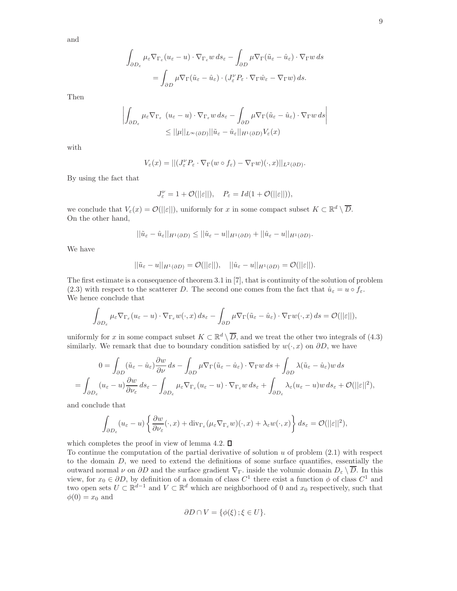and

$$
\int_{\partial D_{\varepsilon}} \mu_{\varepsilon} \nabla_{\Gamma_{\varepsilon}} (u_{\varepsilon} - u) \cdot \nabla_{\Gamma_{\varepsilon}} w \, ds_{\varepsilon} - \int_{\partial D} \mu \nabla_{\Gamma} (\tilde{u}_{\varepsilon} - \hat{u}_{\varepsilon}) \cdot \nabla_{\Gamma} w \, ds
$$

$$
= \int_{\partial D} \mu \nabla_{\Gamma} (\tilde{u}_{\varepsilon} - \hat{u}_{\varepsilon}) \cdot (J_{\varepsilon}^{\nu} P_{\varepsilon} \cdot \nabla_{\Gamma} \hat{w}_{\varepsilon} - \nabla_{\Gamma} w) \, ds.
$$

Then

$$
\left| \int_{\partial D_{\varepsilon}} \mu_{\varepsilon} \nabla_{\Gamma_{\varepsilon}} \left( u_{\varepsilon} - u \right) \cdot \nabla_{\Gamma_{\varepsilon}} w \, ds_{\varepsilon} - \int_{\partial D} \mu \nabla_{\Gamma} (\tilde{u}_{\varepsilon} - \hat{u}_{\varepsilon}) \cdot \nabla_{\Gamma} w \, ds \right|
$$
  
 
$$
\leq ||\mu||_{L^{\infty}(\partial D)} ||\tilde{u}_{\varepsilon} - \hat{u}_{\varepsilon}||_{H^{1}(\partial D)} V_{\varepsilon}(x)
$$

with

$$
V_{\varepsilon}(x) = ||(J_{\varepsilon}^{\nu} P_{\varepsilon} \cdot \nabla_{\Gamma}(w \circ f_{\varepsilon}) - \nabla_{\Gamma} w)(\cdot, x)||_{L^{2}(\partial D)}.
$$

By using the fact that

$$
J_\varepsilon^\nu = 1 + \mathcal{O}(\|\varepsilon\|), \quad P_\varepsilon = Id(1 + \mathcal{O}(\|\varepsilon\|)),
$$

we conclude that  $V_{\varepsilon}(x) = \mathcal{O}(|\varepsilon|)$ , uniformly for x in some compact subset  $K \subset \mathbb{R}^d \setminus \overline{D}$ . On the other hand,

$$
||\tilde{u}_{\varepsilon}-\hat{u}_{\varepsilon}||_{H^1(\partial D)} \leq ||\tilde{u}_{\varepsilon}-u||_{H^1(\partial D)} + ||\hat{u}_{\varepsilon}-u||_{H^1(\partial D)}.
$$

We have

$$
||\tilde{u}_{\varepsilon} - u||_{H^1(\partial D)} = \mathcal{O}(||\varepsilon||), \quad ||\hat{u}_{\varepsilon} - u||_{H^1(\partial D)} = \mathcal{O}(||\varepsilon||).
$$

The first estimate is a consequence of theorem 3.1 in [7], that is continuity of the solution of problem (2.3) with respect to the scatterer D. The second one comes from the fact that  $\hat{u}_{\varepsilon} = u \circ f_{\varepsilon}$ . We hence conclude that

$$
\int_{\partial D_{\varepsilon}} \mu_{\varepsilon} \nabla_{\Gamma_{\varepsilon}} (u_{\varepsilon} - u) \cdot \nabla_{\Gamma_{\varepsilon}} w(\cdot, x) \, ds_{\varepsilon} - \int_{\partial D} \mu \nabla_{\Gamma} (\tilde{u}_{\varepsilon} - \hat{u}_{\varepsilon}) \cdot \nabla_{\Gamma} w(\cdot, x) \, ds = \mathcal{O}(||\varepsilon||),
$$

uniformly for x in some compact subset  $K \subset \mathbb{R}^d \setminus \overline{D}$ , and we treat the other two integrals of (4.3) similarly. We remark that due to boundary condition satisfied by  $w(\cdot, x)$  on  $\partial D$ , we have

$$
0 = \int_{\partial D} (\tilde{u}_{\varepsilon} - \hat{u}_{\varepsilon}) \frac{\partial w}{\partial \nu} ds - \int_{\partial D} \mu \nabla_{\Gamma} (\tilde{u}_{\varepsilon} - \hat{u}_{\varepsilon}) \cdot \nabla_{\Gamma} w ds + \int_{\partial D} \lambda (\tilde{u}_{\varepsilon} - \hat{u}_{\varepsilon}) w ds = \int_{\partial D_{\varepsilon}} (u_{\varepsilon} - u) \frac{\partial w}{\partial \nu_{\varepsilon}} ds_{\varepsilon} - \int_{\partial D_{\varepsilon}} \mu_{\varepsilon} \nabla_{\Gamma_{\varepsilon}} (u_{\varepsilon} - u) \cdot \nabla_{\Gamma_{\varepsilon}} w ds_{\varepsilon} + \int_{\partial D_{\varepsilon}} \lambda_{\varepsilon} (u_{\varepsilon} - u) w ds_{\varepsilon} + \mathcal{O}(||\varepsilon||^2),
$$

and conclude that

$$
\int_{\partial D_{\varepsilon}} (u_{\varepsilon} - u) \left\{ \frac{\partial w}{\partial \nu_{\varepsilon}} (\cdot, x) + \text{div}_{\Gamma_{\varepsilon}} (\mu_{\varepsilon} \nabla_{\Gamma_{\varepsilon}} w)(\cdot, x) + \lambda_{\varepsilon} w(\cdot, x) \right\} ds_{\varepsilon} = \mathcal{O}(||\varepsilon||^2),
$$

which completes the proof in view of lemma 4.2.  $\square$ 

To continue the computation of the partial derivative of solution  $u$  of problem  $(2.1)$  with respect to the domain D, we need to extend the definitions of some surface quantifies, essentially the outward normal  $\nu$  on  $\partial D$  and the surface gradient  $\nabla_{\Gamma}$ , inside the volumic domain  $D_{\varepsilon} \setminus D$ . In this view, for  $x_0 \in \partial D$ , by definition of a domain of class  $C^1$  there exist a function  $\phi$  of class  $C^1$  and two open sets  $U \subset \mathbb{R}^{d-1}$  and  $V \subset \mathbb{R}^d$  which are neighborhood of 0 and  $x_0$  respectively, such that  $\phi(0) = x_0$  and

$$
\partial D \cap V = \{ \phi(\xi) \, ; \, \xi \in U \}.
$$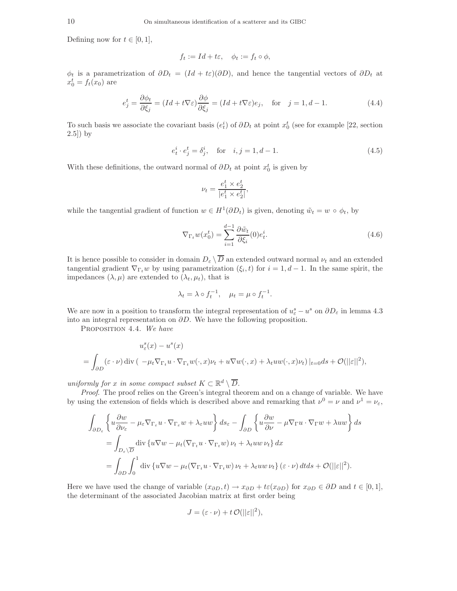Defining now for  $t \in [0, 1]$ ,

$$
f_t := Id + t\varepsilon, \quad \phi_t := f_t \circ \phi,
$$

 $\phi_t$  is a parametrization of  $\partial D_t = (Id + t\varepsilon)(\partial D)$ , and hence the tangential vectors of  $\partial D_t$  at  $x_0^t = f_t(x_0)$  are

$$
e_j^t = \frac{\partial \phi_t}{\partial \xi_j} = (Id + t\nabla \varepsilon) \frac{\partial \phi}{\partial \xi_j} = (Id + t\nabla \varepsilon)e_j, \text{ for } j = 1, d - 1.
$$
 (4.4)

To such basis we associate the covariant basis  $(e_t^i)$  of  $\partial D_t$  at point  $x_0^t$  (see for example [22, section  $2.5$ ) by

$$
e_t^i \cdot e_j^t = \delta_j^i
$$
, for  $i, j = 1, d - 1$ . (4.5)

With these definitions, the outward normal of  $\partial D_t$  at point  $x_0^t$  is given by

$$
\nu_t = \frac{e_1^t \times e_2^t}{|e_1^t \times e_2^t|},
$$

while the tangential gradient of function  $w \in H^1(\partial D_t)$  is given, denoting  $\tilde{w}_t = w \circ \phi_t$ , by

$$
\nabla_{\Gamma_t} w(x_0^t) = \sum_{i=1}^{d-1} \frac{\partial \tilde{w}_t}{\partial \xi_i}(0) e_t^i.
$$
\n(4.6)

It is hence possible to consider in domain  $D_{\varepsilon} \setminus \overline{D}$  an extended outward normal  $\nu_t$  and an extended tangential gradient  $\nabla_{\Gamma_t} w$  by using parametrization  $(\xi_i, t)$  for  $i = 1, d - 1$ . In the same spirit, the impedances  $(\lambda, \mu)$  are extended to  $(\lambda_t, \mu_t)$ , that is

$$
\lambda_t = \lambda \circ f_t^{-1}, \quad \mu_t = \mu \circ f_t^{-1}.
$$

We are now in a position to transform the integral representation of  $u_{\varepsilon}^{s} - u^{s}$  on  $\partial D_{\varepsilon}$  in lemma 4.3 into an integral representation on  $\partial D$ . We have the following proposition.

Proposition 4.4. *We have*

$$
u_{\varepsilon}^{s}(x) - u^{s}(x)
$$
  
= 
$$
\int_{\partial D} (\varepsilon \cdot \nu) \operatorname{div} \left( -\mu_{t} \nabla_{\Gamma_{t}} u \cdot \nabla_{\Gamma_{t}} w(\cdot, x) \nu_{t} + u \nabla w(\cdot, x) + \lambda_{t} u w(\cdot, x) \nu_{t} \right) |_{t=0} ds + \mathcal{O}(||\varepsilon||^{2}),
$$

*uniformly for* x *in some compact subset*  $K \subset \mathbb{R}^d \setminus \overline{D}$ .

*Proof*. The proof relies on the Green's integral theorem and on a change of variable. We have by using the extension of fields which is described above and remarking that  $\nu^0 = \nu$  and  $\nu^1 = \nu_{\varepsilon}$ ,

$$
\int_{\partial D_{\varepsilon}} \left\{ u \frac{\partial w}{\partial \nu_{\varepsilon}} - \mu_{\varepsilon} \nabla_{\Gamma_{\varepsilon}} u \cdot \nabla_{\Gamma_{\varepsilon}} w + \lambda_{\varepsilon} u w \right\} ds_{\varepsilon} - \int_{\partial D} \left\{ u \frac{\partial w}{\partial \nu} - \mu \nabla_{\Gamma} u \cdot \nabla_{\Gamma} w + \lambda u w \right\} ds
$$
  
\n
$$
= \int_{D_{\varepsilon}} \int_{\overline{\partial}} \text{div} \left\{ u \nabla w - \mu_t (\nabla_{\Gamma_t} u \cdot \nabla_{\Gamma_t} w) \nu_t + \lambda_t u w \nu_t \right\} dx
$$
  
\n
$$
= \int_{\partial D} \int_0^1 \text{div} \left\{ u \nabla w - \mu_t (\nabla_{\Gamma_t} u \cdot \nabla_{\Gamma_t} w) \nu_t + \lambda_t u w \nu_t \right\} (\varepsilon \cdot \nu) dt ds + \mathcal{O}(\|\varepsilon\|^2).
$$

Here we have used the change of variable  $(x_{\partial D}, t) \to x_{\partial D} + t\varepsilon(x_{\partial D})$  for  $x_{\partial D} \in \partial D$  and  $t \in [0, 1],$ the determinant of the associated Jacobian matrix at first order being

$$
J = (\varepsilon \cdot \nu) + t \mathcal{O}(||\varepsilon||^2),
$$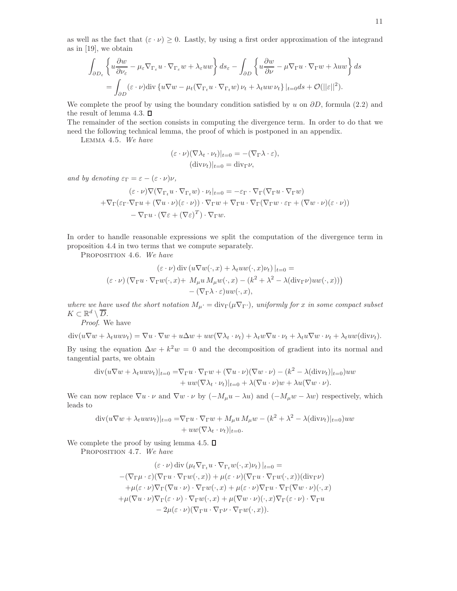as well as the fact that  $(\varepsilon \cdot \nu) \geq 0$ . Lastly, by using a first order approximation of the integrand as in [19], we obtain

$$
\int_{\partial D_{\varepsilon}} \left\{ u \frac{\partial w}{\partial \nu_{\varepsilon}} - \mu_{\varepsilon} \nabla_{\Gamma_{\varepsilon}} u \cdot \nabla_{\Gamma_{\varepsilon}} w + \lambda_{\varepsilon} u w \right\} ds_{\varepsilon} - \int_{\partial D} \left\{ u \frac{\partial w}{\partial \nu} - \mu \nabla_{\Gamma} u \cdot \nabla_{\Gamma} w + \lambda u w \right\} ds
$$
  
= 
$$
\int_{\partial D} (\varepsilon \cdot \nu) \text{div} \left\{ u \nabla w - \mu_t (\nabla_{\Gamma_t} u \cdot \nabla_{\Gamma_t} w) \nu_t + \lambda_t u w \nu_t \right\} |_{t=0} ds + \mathcal{O}(\|\varepsilon\|^2).
$$

We complete the proof by using the boundary condition satisfied by u on  $\partial D$ , formula (2.2) and the result of lemma 4.3.  $\Box$ 

The remainder of the section consists in computing the divergence term. In order to do that we need the following technical lemma, the proof of which is postponed in an appendix.

Lemma 4.5. *We have*

$$
\begin{aligned} (\varepsilon \cdot \nu)(\nabla \lambda_t \cdot \nu_t)|_{t=0} &= -(\nabla_{\Gamma} \lambda \cdot \varepsilon), \\ (\text{div}\nu_t)|_{t=0} &= \text{div}_{\Gamma} \nu, \end{aligned}
$$

*and by denoting*  $\varepsilon_{\Gamma} = \varepsilon - (\varepsilon \cdot \nu)\nu$ ,

$$
(\varepsilon \cdot \nu) \nabla (\nabla_{\Gamma_t} u \cdot \nabla_{\Gamma_t} w) \cdot \nu_t |_{t=0} = -\varepsilon_{\Gamma} \cdot \nabla_{\Gamma} (\nabla_{\Gamma} u \cdot \nabla_{\Gamma} w)
$$

$$
+ \nabla_{\Gamma} (\varepsilon_{\Gamma} \cdot \nabla_{\Gamma} u + (\nabla u \cdot \nu)(\varepsilon \cdot \nu)) \cdot \nabla_{\Gamma} w + \nabla_{\Gamma} u \cdot \nabla_{\Gamma} (\nabla_{\Gamma} w \cdot \varepsilon_{\Gamma} + (\nabla w \cdot \nu)(\varepsilon \cdot \nu))
$$

$$
- \nabla_{\Gamma} u \cdot (\nabla \varepsilon + (\nabla \varepsilon)^T) \cdot \nabla_{\Gamma} w.
$$

In order to handle reasonable expressions we split the computation of the divergence term in proposition 4.4 in two terms that we compute separately.

Proposition 4.6. *We have*

$$
(\varepsilon \cdot \nu) \operatorname{div} (u \nabla w(\cdot, x) + \lambda_t u w(\cdot, x) \nu_t)|_{t=0} =
$$
  

$$
(\varepsilon \cdot \nu) (\nabla_{\Gamma} u \cdot \nabla_{\Gamma} w(\cdot, x) + M_{\mu} u M_{\mu} w(\cdot, x) - (k^2 + \lambda^2 - \lambda (\operatorname{div}_{\Gamma} \nu) u w(\cdot, x))) - (\nabla_{\Gamma} \lambda \cdot \varepsilon) u w(\cdot, x),
$$

*where we have used the short notation*  $M_{\mu} = \text{div}_{\Gamma}(\mu \nabla_{\Gamma})$ *, uniformly for* x *in some compact subset*  $K \subset \mathbb{R}^d \setminus \overline{D}$ .

*Proof*. We have

$$
\operatorname{div}(u\nabla w + \lambda_t uw \nu_t) = \nabla u \cdot \nabla w + u\Delta w + uw(\nabla \lambda_t \cdot \nu_t) + \lambda_t w \nabla u \cdot \nu_t + \lambda_t u \nabla w \cdot \nu_t + \lambda_t uw(\operatorname{div}\nu_t).
$$

By using the equation  $\Delta w + k^2 w = 0$  and the decomposition of gradient into its normal and tangential parts, we obtain

$$
\begin{aligned} \operatorname{div}(u\nabla w + \lambda_t u w \nu_t)|_{t=0} &= \nabla_{\Gamma} u \cdot \nabla_{\Gamma} w + (\nabla u \cdot \nu)(\nabla w \cdot \nu) - (k^2 - \lambda(\operatorname{div} \nu_t)|_{t=0})uw \\ &+ uw(\nabla \lambda_t \cdot \nu_t)|_{t=0} + \lambda(\nabla u \cdot \nu)w + \lambda u(\nabla w \cdot \nu). \end{aligned}
$$

We can now replace  $\nabla u \cdot \nu$  and  $\nabla w \cdot \nu$  by  $(-M_\mu u - \lambda u)$  and  $(-M_\mu w - \lambda w)$  respectively, which leads to

$$
\begin{aligned} \operatorname{div}(u\nabla w + \lambda_t u w \nu_t)|_{t=0} &= \nabla_{\Gamma} u \cdot \nabla_{\Gamma} w + M_{\mu} u M_{\mu} w - (k^2 + \lambda^2 - \lambda (\operatorname{div} \nu_t)|_{t=0}) u w \\ &+ u w (\nabla \lambda_t \cdot \nu_t)|_{t=0} .\end{aligned}
$$

We complete the proof by using lemma 4.5.  $\square$ 

Proposition 4.7. *We have*

$$
(\varepsilon \cdot \nu) \operatorname{div} (\mu_t \nabla_{\Gamma_t} u \cdot \nabla_{\Gamma_t} w(\cdot, x) \nu_t)|_{t=0} =
$$
  
–( $\nabla_{\Gamma} \mu \cdot \varepsilon$ )( $\nabla_{\Gamma} u \cdot \nabla_{\Gamma} w(\cdot, x)$ ) +  $\mu(\varepsilon \cdot \nu)$ ( $\nabla_{\Gamma} u \cdot \nabla_{\Gamma} w(\cdot, x)$ )( $\operatorname{div}_{\Gamma} \nu$ )  
+ $\mu(\varepsilon \cdot \nu)$  $\nabla_{\Gamma} (\nabla u \cdot \nu) \cdot \nabla_{\Gamma} w(\cdot, x) + \mu(\varepsilon \cdot \nu) \nabla_{\Gamma} u \cdot \nabla_{\Gamma} (\nabla w \cdot \nu)(\cdot, x)$   
+ $\mu (\nabla u \cdot \nu)$  $\nabla_{\Gamma} (\varepsilon \cdot \nu) \cdot \nabla_{\Gamma} w(\cdot, x) + \mu (\nabla w \cdot \nu)(\cdot, x) \nabla_{\Gamma} (\varepsilon \cdot \nu) \cdot \nabla_{\Gamma} u$   
-  $2\mu(\varepsilon \cdot \nu)$ ( $\nabla_{\Gamma} u \cdot \nabla_{\Gamma} \nu \cdot \nabla_{\Gamma} w(\cdot, x)$ ).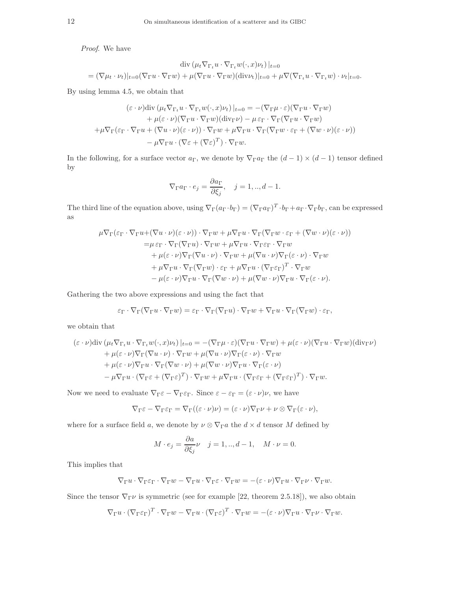*Proof*. We have

$$
\operatorname{div} (\mu_t \nabla_{\Gamma_t} u \cdot \nabla_{\Gamma_t} w(\cdot, x) \nu_t)|_{t=0}
$$
  
=  $(\nabla \mu_t \cdot \nu_t)|_{t=0} (\nabla_{\Gamma} u \cdot \nabla_{\Gamma} w) + \mu (\nabla_{\Gamma} u \cdot \nabla_{\Gamma} w)(\operatorname{div} \nu_t)|_{t=0} + \mu \nabla (\nabla_{\Gamma_t} u \cdot \nabla_{\Gamma_t} w) \cdot \nu_t|_{t=0}.$ 

By using lemma 4.5, we obtain that

$$
(\varepsilon \cdot \nu) \text{div} \left( \mu_t \nabla_{\Gamma_t} u \cdot \nabla_{\Gamma_t} w(\cdot, x) \nu_t \right) \big|_{t=0} = -(\nabla_{\Gamma} \mu \cdot \varepsilon)(\nabla_{\Gamma} u \cdot \nabla_{\Gamma} w) + \mu(\varepsilon \cdot \nu)(\nabla_{\Gamma} u \cdot \nabla_{\Gamma} w)(\text{div}_{\Gamma} \nu) - \mu \varepsilon_{\Gamma} \cdot \nabla_{\Gamma} (\nabla_{\Gamma} u \cdot \nabla_{\Gamma} w) + \mu \nabla_{\Gamma} (\varepsilon_{\Gamma} \cdot \nabla_{\Gamma} u + (\nabla u \cdot \nu)(\varepsilon \cdot \nu)) \cdot \nabla_{\Gamma} w + \mu \nabla_{\Gamma} u \cdot \nabla_{\Gamma} (\nabla_{\Gamma} w \cdot \varepsilon_{\Gamma} + (\nabla w \cdot \nu)(\varepsilon \cdot \nu)) - \mu \nabla_{\Gamma} u \cdot (\nabla \varepsilon + (\nabla \varepsilon)^T) \cdot \nabla_{\Gamma} w.
$$

In the following, for a surface vector  $a_{\Gamma}$ , we denote by  $\nabla_{\Gamma} a_{\Gamma}$  the  $(d-1) \times (d-1)$  tensor defined by

$$
\nabla_{\Gamma} a_{\Gamma} \cdot e_j = \frac{\partial a_{\Gamma}}{\partial \xi_j}, \quad j = 1, ..., d - 1.
$$

The third line of the equation above, using  $\nabla_{\Gamma}(a_{\Gamma} \cdot b_{\Gamma}) = (\nabla_{\Gamma} a_{\Gamma})^T \cdot b_{\Gamma} + a_{\Gamma} \cdot \nabla_{\Gamma} b_{\Gamma}$ , can be expressed as

$$
\mu \nabla_{\Gamma}(\varepsilon_{\Gamma} \cdot \nabla_{\Gamma} u + (\nabla u \cdot \nu)(\varepsilon \cdot \nu)) \cdot \nabla_{\Gamma} w + \mu \nabla_{\Gamma} u \cdot \nabla_{\Gamma}(\nabla_{\Gamma} w \cdot \varepsilon_{\Gamma} + (\nabla w \cdot \nu)(\varepsilon \cdot \nu))
$$
  
\n
$$
= \mu \varepsilon_{\Gamma} \cdot \nabla_{\Gamma}(\nabla_{\Gamma} u) \cdot \nabla_{\Gamma} w + \mu \nabla_{\Gamma} u \cdot \nabla_{\Gamma} \varepsilon_{\Gamma} \cdot \nabla_{\Gamma} w
$$
  
\n
$$
+ \mu(\varepsilon \cdot \nu) \nabla_{\Gamma}(\nabla u \cdot \nu) \cdot \nabla_{\Gamma} w + \mu (\nabla u \cdot \nu) \nabla_{\Gamma} (\varepsilon \cdot \nu) \cdot \nabla_{\Gamma} w
$$
  
\n
$$
+ \mu \nabla_{\Gamma} u \cdot \nabla_{\Gamma}(\nabla_{\Gamma} w) \cdot \varepsilon_{\Gamma} + \mu \nabla_{\Gamma} u \cdot (\nabla_{\Gamma} \varepsilon_{\Gamma})^{T} \cdot \nabla_{\Gamma} w
$$
  
\n
$$
- \mu(\varepsilon \cdot \nu) \nabla_{\Gamma} u \cdot \nabla_{\Gamma}(\nabla w \cdot \nu) + \mu (\nabla w \cdot \nu) \nabla_{\Gamma} u \cdot \nabla_{\Gamma} (\varepsilon \cdot \nu).
$$

Gathering the two above expressions and using the fact that

$$
\varepsilon_{\Gamma} \cdot \nabla_{\Gamma} (\nabla_{\Gamma} u \cdot \nabla_{\Gamma} w) = \varepsilon_{\Gamma} \cdot \nabla_{\Gamma} (\nabla_{\Gamma} u) \cdot \nabla_{\Gamma} w + \nabla_{\Gamma} u \cdot \nabla_{\Gamma} (\nabla_{\Gamma} w) \cdot \varepsilon_{\Gamma},
$$

we obtain that

$$
(\varepsilon \cdot \nu) \text{div} \left( \mu_t \nabla_{\Gamma_t} u \cdot \nabla_{\Gamma_t} w(\cdot, x) \nu_t \right) \Big|_{t=0} = -(\nabla_{\Gamma} \mu \cdot \varepsilon)(\nabla_{\Gamma} u \cdot \nabla_{\Gamma} w) + \mu(\varepsilon \cdot \nu)(\nabla_{\Gamma} u \cdot \nabla_{\Gamma} w)(\text{div}_{\Gamma} \nu) + \mu(\varepsilon \cdot \nu) \nabla_{\Gamma} (\nabla u \cdot \nu) \cdot \nabla_{\Gamma} w + \mu(\nabla u \cdot \nu) \nabla_{\Gamma} (\varepsilon \cdot \nu) \cdot \nabla_{\Gamma} w + \mu(\varepsilon \cdot \nu) \nabla_{\Gamma} u \cdot \nabla_{\Gamma} (\nabla w \cdot \nu) + \mu(\nabla w \cdot \nu) \nabla_{\Gamma} u \cdot \nabla_{\Gamma} (\varepsilon \cdot \nu) - \mu \nabla_{\Gamma} u \cdot (\nabla_{\Gamma} \varepsilon + (\nabla_{\Gamma} \varepsilon)^T) \cdot \nabla_{\Gamma} w + \mu \nabla_{\Gamma} u \cdot (\nabla_{\Gamma} \varepsilon_{\Gamma} + (\nabla_{\Gamma} \varepsilon_{\Gamma})^T) \cdot \nabla_{\Gamma} w.
$$

Now we need to evaluate  $\nabla_{\Gamma} \varepsilon - \nabla_{\Gamma} \varepsilon_{\Gamma}$ . Since  $\varepsilon - \varepsilon_{\Gamma} = (\varepsilon \cdot \nu) \nu$ , we have

$$
\nabla_{\Gamma} \varepsilon - \nabla_{\Gamma} \varepsilon_{\Gamma} = \nabla_{\Gamma} ((\varepsilon \cdot \nu) \nu) = (\varepsilon \cdot \nu) \nabla_{\Gamma} \nu + \nu \otimes \nabla_{\Gamma} (\varepsilon \cdot \nu),
$$

where for a surface field a, we denote by  $\nu \otimes \nabla_{\Gamma} a$  the  $d \times d$  tensor M defined by

$$
M \cdot e_j = \frac{\partial a}{\partial \xi_j} \nu \quad j = 1, ..., d - 1, \quad M \cdot \nu = 0.
$$

This implies that

$$
\nabla_{\Gamma} u \cdot \nabla_{\Gamma} \varepsilon_{\Gamma} \cdot \nabla_{\Gamma} w - \nabla_{\Gamma} u \cdot \nabla_{\Gamma} \varepsilon \cdot \nabla_{\Gamma} w = -(\varepsilon \cdot \nu) \nabla_{\Gamma} u \cdot \nabla_{\Gamma} \nu \cdot \nabla_{\Gamma} w.
$$

Since the tensor  $\nabla_{\Gamma} \nu$  is symmetric (see for example [22, theorem 2.5.18]), we also obtain

$$
\nabla_{\Gamma} u \cdot (\nabla_{\Gamma} \varepsilon_{\Gamma})^T \cdot \nabla_{\Gamma} w - \nabla_{\Gamma} u \cdot (\nabla_{\Gamma} \varepsilon)^T \cdot \nabla_{\Gamma} w = -(\varepsilon \cdot \nu) \nabla_{\Gamma} u \cdot \nabla_{\Gamma} \nu \cdot \nabla_{\Gamma} w.
$$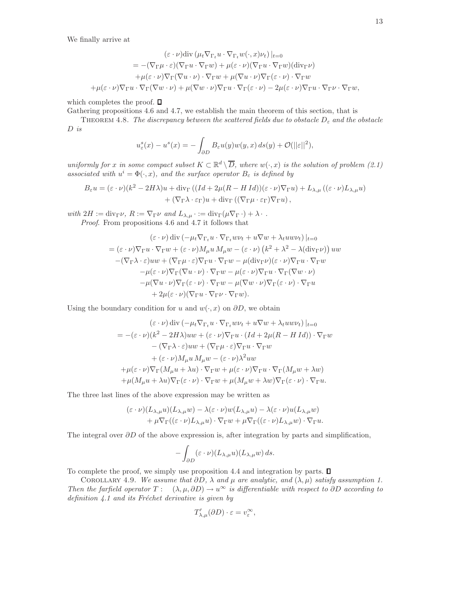We finally arrive at

$$
(\varepsilon \cdot \nu) \operatorname{div} (\mu_t \nabla_{\Gamma_t} u \cdot \nabla_{\Gamma_t} w(\cdot, x) \nu_t) |_{t=0}
$$
  
\n
$$
= -(\nabla_{\Gamma} \mu \cdot \varepsilon)(\nabla_{\Gamma} u \cdot \nabla_{\Gamma} w) + \mu(\varepsilon \cdot \nu)(\nabla_{\Gamma} u \cdot \nabla_{\Gamma} w)(\operatorname{div}_{\Gamma} \nu)
$$
  
\n
$$
+ \mu(\varepsilon \cdot \nu) \nabla_{\Gamma} (\nabla u \cdot \nu) \cdot \nabla_{\Gamma} w + \mu(\nabla u \cdot \nu) \nabla_{\Gamma} (\varepsilon \cdot \nu) \cdot \nabla_{\Gamma} w
$$
  
\n
$$
+ \mu(\varepsilon \cdot \nu) \nabla_{\Gamma} u \cdot \nabla_{\Gamma} (\nabla w \cdot \nu) + \mu(\nabla w \cdot \nu) \nabla_{\Gamma} u \cdot \nabla_{\Gamma} (\varepsilon \cdot \nu) - 2\mu(\varepsilon \cdot \nu) \nabla_{\Gamma} u \cdot \nabla_{\Gamma} \nu \cdot \nabla_{\Gamma} w,
$$

which completes the proof.  $\square$ 

Gathering propositions 4.6 and 4.7, we establish the main theorem of this section, that is

THEOREM 4.8. *The discrepancy between the scattered fields due to obstacle*  $D_{\varepsilon}$  and the obstacle D *is*

$$
u_{\varepsilon}^{s}(x) - u^{s}(x) = -\int_{\partial D} B_{\varepsilon} u(y) w(y, x) ds(y) + \mathcal{O}(||\varepsilon||^{2}),
$$

*uniformly for* x *in some compact subset*  $K \subset \mathbb{R}^d \setminus \overline{D}$ , where  $w(\cdot, x)$  *is the solution of problem* (2.1) *associated with*  $u^i = \Phi(\cdot, x)$ *, and the surface operator*  $B_{\varepsilon}$  *is defined by* 

$$
B_{\varepsilon}u = (\varepsilon \cdot \nu)(k^2 - 2H\lambda)u + \text{div}_{\Gamma}((Id + 2\mu(R - H\,Id))(\varepsilon \cdot \nu)\nabla_{\Gamma}u) + L_{\lambda,\mu}((\varepsilon \cdot \nu)L_{\lambda,\mu}u) + (\nabla_{\Gamma}\lambda \cdot \varepsilon_{\Gamma})u + \text{div}_{\Gamma}((\nabla_{\Gamma}\mu \cdot \varepsilon_{\Gamma})\nabla_{\Gamma}u),
$$

*with*  $2H := \text{div}_{\Gamma} \nu$ ,  $R := \nabla_{\Gamma} \nu$  *and*  $L_{\lambda,\mu} \cdot := \text{div}_{\Gamma} (\mu \nabla_{\Gamma} \cdot) + \lambda \cdot$ . *Proof*. From propositions 4.6 and 4.7 it follows that

$$
(\varepsilon \cdot \nu) \operatorname{div} \left( -\mu_t \nabla_{\Gamma_t} u \cdot \nabla_{\Gamma_t} w \nu_t + u \nabla w + \lambda_t u w \nu_t \right) |_{t=0}
$$
  
=\n
$$
(\varepsilon \cdot \nu) \nabla_{\Gamma} u \cdot \nabla_{\Gamma} w + (\varepsilon \cdot \nu) M_\mu u M_\mu w - (\varepsilon \cdot \nu) (k^2 + \lambda^2 - \lambda (\operatorname{div}_{\Gamma} \nu)) u w
$$
  
\n
$$
-(\nabla_{\Gamma} \lambda \cdot \varepsilon) u w + (\nabla_{\Gamma} \mu \cdot \varepsilon) \nabla_{\Gamma} u \cdot \nabla_{\Gamma} w - \mu (\operatorname{div}_{\Gamma} \nu) (\varepsilon \cdot \nu) \nabla_{\Gamma} u \cdot \nabla_{\Gamma} w
$$
  
\n
$$
-\mu (\varepsilon \cdot \nu) \nabla_{\Gamma} (\nabla u \cdot \nu) \cdot \nabla_{\Gamma} w - \mu (\varepsilon \cdot \nu) \nabla_{\Gamma} u \cdot \nabla_{\Gamma} (\nabla w \cdot \nu)
$$
  
\n
$$
-\mu (\nabla u \cdot \nu) \nabla_{\Gamma} (\varepsilon \cdot \nu) \cdot \nabla_{\Gamma} w - \mu (\nabla w \cdot \nu) \nabla_{\Gamma} (\varepsilon \cdot \nu) \cdot \nabla_{\Gamma} u
$$
  
\n
$$
+ 2\mu (\varepsilon \cdot \nu) (\nabla_{\Gamma} u \cdot \nabla_{\Gamma} \nu \cdot \nabla_{\Gamma} w).
$$

Using the boundary condition for u and  $w(\cdot, x)$  on  $\partial D$ , we obtain

$$
(\varepsilon \cdot \nu) \operatorname{div} \left( -\mu_t \nabla_{\Gamma_t} u \cdot \nabla_{\Gamma_t} w \nu_t + u \nabla w + \lambda_t u w \nu_t \right)|_{t=0}
$$
  
=  $-(\varepsilon \cdot \nu)(k^2 - 2H\lambda)uw + (\varepsilon \cdot \nu) \nabla_{\Gamma} u \cdot (Id + 2\mu(R - H Id)) \cdot \nabla_{\Gamma} w$   
 $- (\nabla_{\Gamma} \lambda \cdot \varepsilon)uw + (\nabla_{\Gamma} \mu \cdot \varepsilon) \nabla_{\Gamma} u \cdot \nabla_{\Gamma} w$   
 $+ (\varepsilon \cdot \nu) M_{\mu} u M_{\mu} w - (\varepsilon \cdot \nu) \lambda^2 uw$   
 $+ \mu(\varepsilon \cdot \nu) \nabla_{\Gamma} (M_{\mu} u + \lambda u) \cdot \nabla_{\Gamma} w + \mu(\varepsilon \cdot \nu) \nabla_{\Gamma} u \cdot \nabla_{\Gamma} (M_{\mu} w + \lambda w)$   
 $+ \mu (M_{\mu} u + \lambda u) \nabla_{\Gamma} (\varepsilon \cdot \nu) \cdot \nabla_{\Gamma} w + \mu (M_{\mu} w + \lambda w) \nabla_{\Gamma} (\varepsilon \cdot \nu) \cdot \nabla_{\Gamma} u.$ 

The three last lines of the above expression may be written as

$$
(\varepsilon \cdot \nu)(L_{\lambda,\mu}u)(L_{\lambda,\mu}w) - \lambda(\varepsilon \cdot \nu)w(L_{\lambda,\mu}u) - \lambda(\varepsilon \cdot \nu)u(L_{\lambda,\mu}w) + \mu \nabla_{\Gamma}((\varepsilon \cdot \nu)L_{\lambda,\mu}u) \cdot \nabla_{\Gamma}w + \mu \nabla_{\Gamma}((\varepsilon \cdot \nu)L_{\lambda,\mu}w) \cdot \nabla_{\Gamma}u.
$$

The integral over  $\partial D$  of the above expression is, after integration by parts and simplification,

$$
-\int_{\partial D} (\varepsilon \cdot \nu) (L_{\lambda,\mu} u) (L_{\lambda,\mu} w) ds.
$$

To complete the proof, we simply use proposition 4.4 and integration by parts.  $\Box$ 

COROLLARY 4.9. *We assume that*  $\partial D$ ,  $\lambda$  *and*  $\mu$  *are analytic, and*  $(\lambda, \mu)$  *satisfy assumption 1. Then the farfield operator*  $T : (\lambda, \mu, \partial D) \to u^\infty$  *is differentiable with respect to*  $\partial D$  *according to* definition 4.1 and its Fréchet derivative is given by

$$
T'_{\lambda,\mu}(\partial D) \cdot \varepsilon = v_\varepsilon^\infty,
$$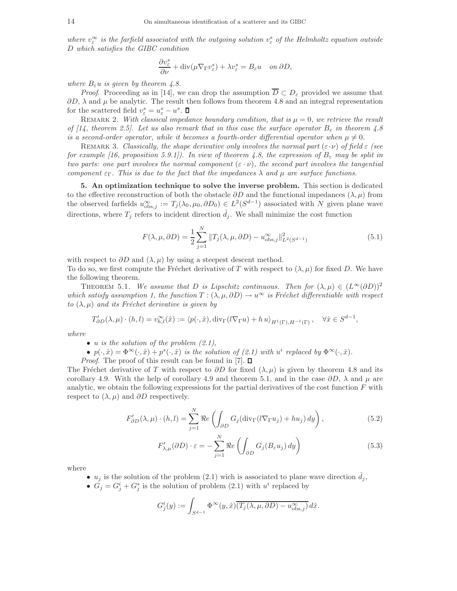where  $v_{\varepsilon}^{\infty}$  is the farfield associated with the outgoing solution  $v_{\varepsilon}^{s}$  of the Helmholtz equation outside D *which satisfies the GIBC condition*

$$
\frac{\partial v_{\varepsilon}^s}{\partial \nu} + \text{div}(\mu \nabla_{\Gamma} v_{\varepsilon}^s) + \lambda v_{\varepsilon}^s = B_{\varepsilon} u \quad on \ \partial D,
$$

*where*  $B_\varepsilon u$  *is given by theorem 4.8.* 

*Proof.* Proceeding as in [14], we can drop the assumption  $\overline{D} \subset D_{\varepsilon}$  provided we assume that  $\partial D$ ,  $\lambda$  and  $\mu$  be analytic. The result then follows from theorem 4.8 and an integral representation for the scattered field  $v_{\varepsilon}^{s} = u_{\varepsilon}^{s} - u^{s}$ .

REMARK 2. With classical impedance boundary condition, that is  $\mu = 0$ , we retrieve the result *of [14, theorem 2.5]. Let us also remark that in this case the surface operator*  $B_{\varepsilon}$  *in theorem 4.8 is a second-order operator, while it becomes a fourth-order differential operator when*  $\mu \neq 0$ .

REMARK 3. *Classically, the shape derivative only involves the normal part*  $(\epsilon \cdot \nu)$  of field  $\epsilon$  (see *for example [16, proposition 5.9.1]). In view of theorem 4.8, the expression of*  $B_{\varepsilon}$  *may be split in two parts: one part involves the normal component*  $(\epsilon \cdot \nu)$ *, the second part involves the tangential component*  $\varepsilon_{\Gamma}$ *. This is due to the fact that the impedances*  $\lambda$  *and*  $\mu$  *are surface functions.* 

5. An optimization technique to solve the inverse problem. This section is dedicated to the effective reconstruction of both the obstacle  $\partial D$  and the functional impedances  $(\lambda, \mu)$  from the observed farfields  $u_{\text{obs},j}^{\infty} := T_j(\lambda_0, \mu_0, \partial D_0) \in L^2(S^{d-1})$  associated with N given plane wave directions, where  $T_j$  refers to incident direction  $\hat{d}_j$ . We shall minimize the cost function

$$
F(\lambda, \mu, \partial D) = \frac{1}{2} \sum_{j=1}^{N} \|T_j(\lambda, \mu, \partial D) - u_{\text{obs},j}^{\infty}\|_{L^2(S^{d-1})}^2
$$
(5.1)

with respect to  $\partial D$  and  $(\lambda, \mu)$  by using a steepest descent method.

To do so, we first compute the Fréchet derivative of T with respect to  $(\lambda, \mu)$  for fixed D. We have the following theorem.

THEOREM 5.1. *We assume that* D *is Lipschitz continuous. Then for*  $(\lambda, \mu) \in (L^{\infty}(\partial D))^2$ *which satisfy assumption 1, the function*  $T : (\lambda, \mu, \partial D) \to u^\infty$  *is Fréchet differentiable with respect to*  $(\lambda, \mu)$  *and its Fréchet derivative is given by* 

$$
T'_{\partial D}(\lambda,\mu)\cdot(h,l)=v_{h,l}^{\infty}(\hat{x}):=\langle p(\cdot,\hat{x}),\operatorname{div}_{\Gamma}(l\nabla_{\Gamma}u)+h\,u\rangle_{H^{1}(\Gamma),H^{-1}(\Gamma)},\quad\forall\hat{x}\in S^{d-1},
$$

*where*

- u *is the solution of the problem (2.1),*
- $p(\cdot,\hat{x}) = \Phi^{\infty}(\cdot,\hat{x}) + p^{s}(\cdot,\hat{x})$  *is the solution of (2.1) with*  $u^{i}$  replaced by  $\Phi^{\infty}(\cdot,\hat{x})$ *.*
- *Proof.* The proof of this result can be found in [7].  $\Box$

The Fréchet derivative of T with respect to  $\partial D$  for fixed  $(\lambda, \mu)$  is given by theorem 4.8 and its corollary 4.9. With the help of corollary 4.9 and theorem 5.1, and in the case  $\partial D$ ,  $\lambda$  and  $\mu$  are analytic, we obtain the following expressions for the partial derivatives of the cost function  $F$  with respect to  $(\lambda, \mu)$  and  $\partial D$  respectively.

$$
F'_{\partial D}(\lambda,\mu)\cdot(h,l) = \sum_{j=1}^{N} \Re e \left( \int_{\partial D} G_j(\text{div}_{\Gamma}(l\nabla_{\Gamma} u_j) + h u_j) dy \right),\tag{5.2}
$$

$$
F'_{\lambda,\mu}(\partial D) \cdot \varepsilon = -\sum_{j=1}^{N} \Re e \left( \int_{\partial D} G_j(B_{\varepsilon} u_j) \, dy \right) \tag{5.3}
$$

where

- $u_j$  is the solution of the problem (2.1) wich is associated to plane wave direction  $d_j$ ,
- $G_j = G_j^i + G_j^s$  is the solution of problem (2.1) with  $u^i$  replaced by

$$
G_j^i(y) := \int_{S^{d-1}} \Phi^\infty(y, \hat{x}) \overline{(T_j(\lambda, \mu, \partial D) - u_{\text{obs},j}^\infty)} d\hat{x}.
$$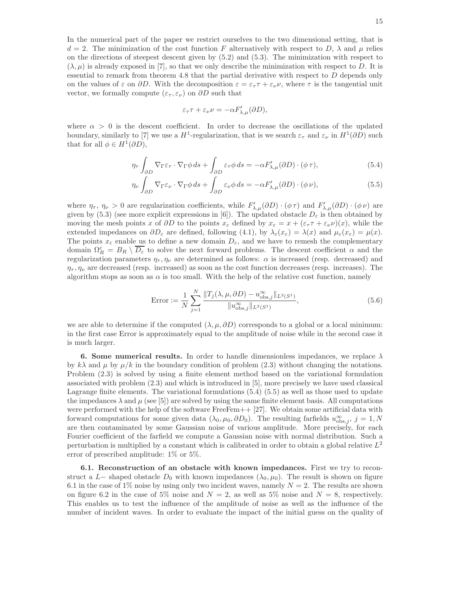In the numerical part of the paper we restrict ourselves to the two dimensional setting, that is  $d = 2$ . The minimization of the cost function F alternatively with respect to D,  $\lambda$  and  $\mu$  relies on the directions of steepest descent given by (5.2) and (5.3). The minimization with respect to  $(\lambda, \mu)$  is already exposed in [7], so that we only describe the minimization with respect to D. It is essential to remark from theorem 4.8 that the partial derivative with respect to  $D$  depends only on the values of  $\varepsilon$  on  $\partial D$ . With the decomposition  $\varepsilon = \varepsilon_{\tau} \tau + \varepsilon_{\nu} \nu$ , where  $\tau$  is the tangential unit vector, we formally compute ( $\varepsilon_{\tau}, \varepsilon_{\nu}$ ) on  $\partial D$  such that

$$
\varepsilon_\tau \tau + \varepsilon_\nu \nu = - \alpha F'_{\lambda,\mu}(\partial D),
$$

where  $\alpha > 0$  is the descent coefficient. In order to decrease the oscillations of the updated boundary, similarly to [7] we use a  $H^1$ -regularization, that is we search  $\varepsilon_{\tau}$  and  $\varepsilon_{\nu}$  in  $H^1(\partial D)$  such that for all  $\phi \in H^1(\partial D)$ ,

$$
\eta_{\tau} \int_{\partial D} \nabla_{\Gamma} \varepsilon_{\tau} \cdot \nabla_{\Gamma} \phi \, ds + \int_{\partial D} \varepsilon_{\tau} \phi \, ds = -\alpha F'_{\lambda,\mu}(\partial D) \cdot (\phi \, \tau), \tag{5.4}
$$

$$
\eta_{\nu} \int_{\partial D} \nabla_{\Gamma} \varepsilon_{\nu} \cdot \nabla_{\Gamma} \phi \, ds + \int_{\partial D} \varepsilon_{\nu} \phi \, ds = -\alpha F'_{\lambda,\mu}(\partial D) \cdot (\phi \, \nu), \tag{5.5}
$$

where  $\eta_{\tau}$ ,  $\eta_{\nu} > 0$  are regularization coefficients, while  $F'_{\lambda,\mu}(\partial D) \cdot (\phi \tau)$  and  $F'_{\lambda,\mu}(\partial D) \cdot (\phi \nu)$  are given by (5.3) (see more explicit expressions in [6]). The updated obstacle  $D_{\varepsilon}$  is then obtained by moving the mesh points x of  $\partial D$  to the points  $x_{\varepsilon}$  defined by  $x_{\varepsilon} = x + (\varepsilon_{\tau} \tau + \varepsilon_{\nu} \nu)(x)$ , while the extended impedances on  $\partial D_{\varepsilon}$  are defined, following (4.1), by  $\lambda_{\varepsilon}(x_{\varepsilon}) = \lambda(x)$  and  $\mu_{\varepsilon}(x_{\varepsilon}) = \mu(x)$ . The points  $x_{\varepsilon}$  enable us to define a new domain  $D_{\varepsilon}$ , and we have to remesh the complementary domain  $\Omega_R^{\varepsilon} = B_R \setminus \overline{D_{\varepsilon}}$  to solve the next forward problems. The descent coefficient  $\alpha$  and the regularization parameters  $\eta_{\tau}, \eta_{\nu}$  are determined as follows:  $\alpha$  is increased (resp. decreased) and  $\eta_{\tau}, \eta_{\nu}$  are decreased (resp. increased) as soon as the cost function decreases (resp. increases). The algorithm stops as soon as  $\alpha$  is too small. With the help of the relative cost function, namely

Error := 
$$
\frac{1}{N} \sum_{j=1}^{N} \frac{\|T_j(\lambda, \mu, \partial D) - u_{\text{obs},j}^{\infty}\|_{L^2(S^1)}}{\|u_{\text{obs},j}^{\infty}\|_{L^2(S^1)}},
$$
(5.6)

we are able to determine if the computed  $(\lambda, \mu, \partial D)$  corresponds to a global or a local minimum: in the first case Error is approximately equal to the amplitude of noise while in the second case it is much larger.

6. Some numerical results. In order to handle dimensionless impedances, we replace  $\lambda$ by  $k\lambda$  and  $\mu$  by  $\mu/k$  in the boundary condition of problem (2.3) without changing the notations. Problem (2.3) is solved by using a finite element method based on the variational formulation associated with problem (2.3) and which is introduced in [5], more precisely we have used classical Lagrange finite elements. The variational formulations (5.4) (5.5) as well as those used to update the impedances  $\lambda$  and  $\mu$  (see [5]) are solved by using the same finite element basis. All computations were performed with the help of the software FreeFem++ [27]. We obtain some artificial data with forward computations for some given data  $(\lambda_0, \mu_0, \partial D_0)$ . The resulting farfields  $u_{\text{obs},j}^{\infty}$ ,  $j = 1, N$ are then contaminated by some Gaussian noise of various amplitude. More precisely, for each Fourier coefficient of the farfield we compute a Gaussian noise with normal distribution. Such a perturbation is multiplied by a constant which is calibrated in order to obtain a global relative  $L^2$ error of prescribed amplitude: 1% or 5%.

6.1. Reconstruction of an obstacle with known impedances. First we try to reconstruct a L– shaped obstacle  $D_0$  with known impedances  $(\lambda_0, \mu_0)$ . The result is shown on figure 6.1 in the case of 1% noise by using only two incident waves, namely  $N = 2$ . The results are shown on figure 6.2 in the case of 5% noise and  $N = 2$ , as well as 5% noise and  $N = 8$ , respectively. This enables us to test the influence of the amplitude of noise as well as the influence of the number of incident waves. In order to evaluate the impact of the initial guess on the quality of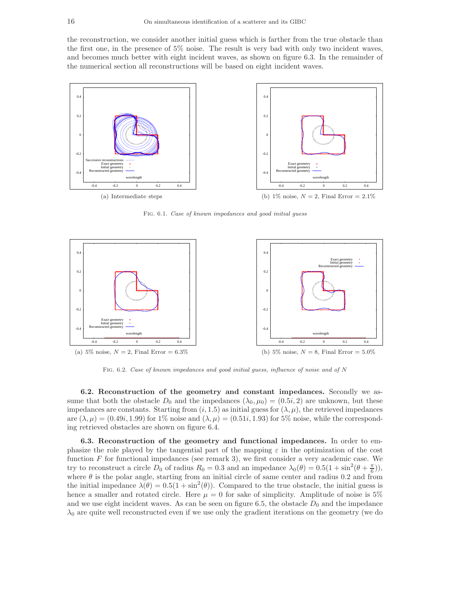the reconstruction, we consider another initial guess which is farther from the true obstacle than the first one, in the presence of 5% noise. The result is very bad with only two incident waves, and becomes much better with eight incident waves, as shown on figure 6.3. In the remainder of the numerical section all reconstructions will be based on eight incident waves.



Fig. 6.1. Case of known impedances and good initial guess



Fig. 6.2. Case of known impedances and good initial guess, influence of noise and of N

6.2. Reconstruction of the geometry and constant impedances. Secondly we assume that both the obstacle  $D_0$  and the impedances  $(\lambda_0, \mu_0) = (0.5i, 2)$  are unknown, but these impedances are constants. Starting from  $(i, 1.5)$  as initial guess for  $(\lambda, \mu)$ , the retrieved impedances are  $(\lambda, \mu) = (0.49i, 1.99)$  for 1% noise and  $(\lambda, \mu) = (0.51i, 1.93)$  for 5% noise, while the corresponding retrieved obstacles are shown on figure 6.4.

6.3. Reconstruction of the geometry and functional impedances. In order to emphasize the role played by the tangential part of the mapping  $\varepsilon$  in the optimization of the cost function  $F$  for functional impedances (see remark 3), we first consider a very academic case. We try to reconstruct a circle  $D_0$  of radius  $R_0 = 0.3$  and an impedance  $\lambda_0(\theta) = 0.5(1 + \sin^2(\theta + \frac{\pi}{6})),$ where  $\theta$  is the polar angle, starting from an initial circle of same center and radius 0.2 and from the initial impedance  $\lambda(\theta) = 0.5(1 + \sin^2(\theta))$ . Compared to the true obstacle, the initial guess is hence a smaller and rotated circle. Here  $\mu = 0$  for sake of simplicity. Amplitude of noise is 5% and we use eight incident waves. As can be seen on figure 6.5, the obstacle  $D_0$  and the impedance  $\lambda_0$  are quite well reconstructed even if we use only the gradient iterations on the geometry (we do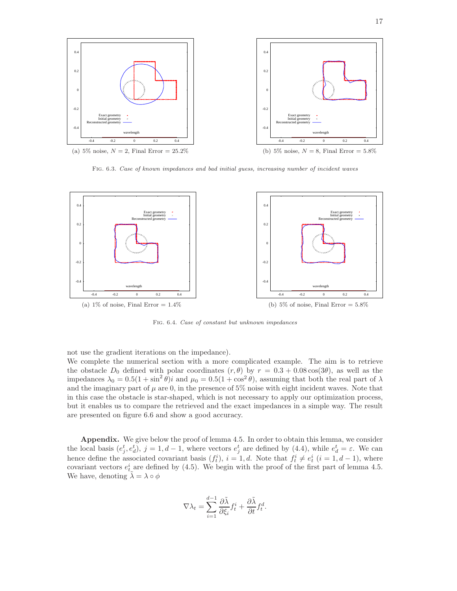

Fig. 6.3. Case of known impedances and bad initial guess, increasing number of incident waves



Fig. 6.4. Case of constant but unknown impedances

not use the gradient iterations on the impedance).

We complete the numerical section with a more complicated example. The aim is to retrieve the obstacle  $D_0$  defined with polar coordinates  $(r, \theta)$  by  $r = 0.3 + 0.08 \cos(3\theta)$ , as well as the impedances  $\lambda_0 = 0.5(1 + \sin^2 \theta)i$  and  $\mu_0 = 0.5(1 + \cos^2 \theta)$ , assuming that both the real part of  $\lambda$ and the imaginary part of  $\mu$  are 0, in the presence of 5% noise with eight incident waves. Note that in this case the obstacle is star-shaped, which is not necessary to apply our optimization process, but it enables us to compare the retrieved and the exact impedances in a simple way. The result are presented on figure 6.6 and show a good accuracy.

Appendix. We give below the proof of lemma 4.5. In order to obtain this lemma, we consider the local basis  $(e_j^t, e_d^t)$ ,  $j = 1, d - 1$ , where vectors  $e_j^t$  are defined by (4.4), while  $e_d^t = \varepsilon$ . We can hence define the associated covariant basis  $(f_t^i)$ ,  $i = 1, d$ . Note that  $f_t^i \neq e_t^i$   $(i = 1, d - 1)$ , where covariant vectors  $e_t^i$  are defined by (4.5). We begin with the proof of the first part of lemma 4.5. We have, denoting  $\lambda = \lambda \circ \phi$ 

$$
\nabla \lambda_t = \sum_{i=1}^{d-1} \frac{\partial \tilde{\lambda}}{\partial \xi_i} f_t^i + \frac{\partial \tilde{\lambda}}{\partial t} f_t^d.
$$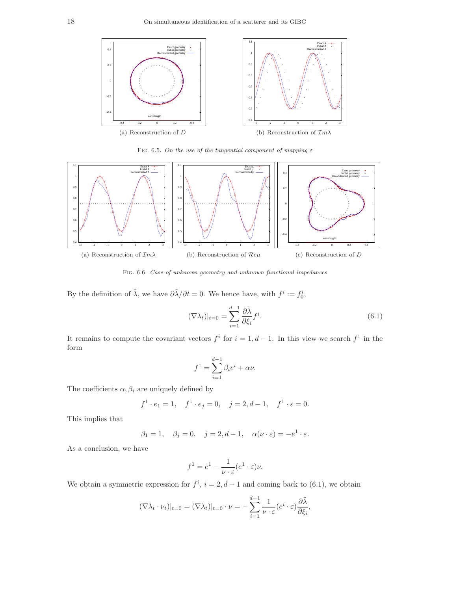

FIG. 6.5. On the use of the tangential component of mapping  $\varepsilon$ 



Fig. 6.6. Case of unknown geometry and unknown functional impedances

By the definition of  $\tilde{\lambda}$ , we have  $\partial \tilde{\lambda}/\partial t = 0$ . We hence have, with  $f^i := f_0^i$ ,

$$
(\nabla \lambda_t)|_{t=0} = \sum_{i=1}^{d-1} \frac{\partial \tilde{\lambda}}{\partial \xi_i} f^i.
$$
\n(6.1)

It remains to compute the covariant vectors  $f^i$  for  $i = 1, d - 1$ . In this view we search  $f^1$  in the form

$$
f^{1} = \sum_{i=1}^{d-1} \beta_{i} e^{i} + \alpha \nu.
$$

The coefficients  $\alpha, \beta_i$  are uniquely defined by

$$
f^1 \cdot e_1 = 1
$$
,  $f^1 \cdot e_j = 0$ ,  $j = 2, d - 1$ ,  $f^1 \cdot \varepsilon = 0$ .

This implies that

$$
\beta_1 = 1, \quad \beta_j = 0, \quad j = 2, d - 1, \quad \alpha(\nu \cdot \varepsilon) = -e^1 \cdot \varepsilon.
$$

As a conclusion, we have

$$
f^{1} = e^{1} - \frac{1}{\nu \cdot \varepsilon} (e^{1} \cdot \varepsilon) \nu.
$$

We obtain a symmetric expression for  $f^i$ ,  $i = 2, d - 1$  and coming back to (6.1), we obtain

$$
(\nabla \lambda_t \cdot \nu_t)|_{t=0} = (\nabla \lambda_t)|_{t=0} \cdot \nu = -\sum_{i=1}^{d-1} \frac{1}{\nu \cdot \varepsilon} (e^i \cdot \varepsilon) \frac{\partial \tilde{\lambda}}{\partial \xi_i},
$$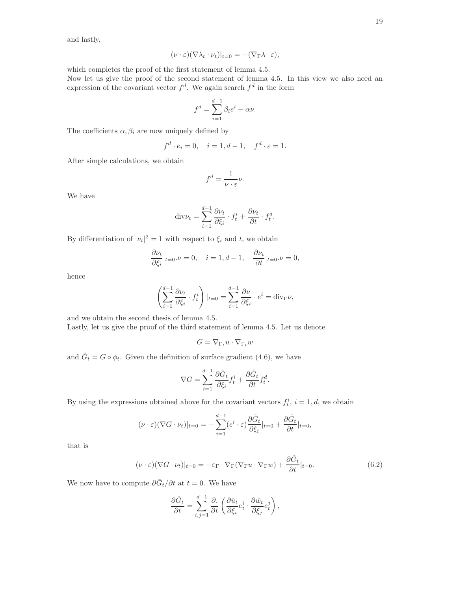and lastly,

$$
(\nu \cdot \varepsilon)(\nabla \lambda_t \cdot \nu_t)|_{t=0} = -(\nabla_{\Gamma} \lambda \cdot \varepsilon),
$$

which completes the proof of the first statement of lemma 4.5.

Now let us give the proof of the second statement of lemma 4.5. In this view we also need an expression of the covariant vector  $f^d$ . We again search  $f^d$  in the form

$$
f^d = \sum_{i=1}^{d-1} \beta_i e^i + \alpha \nu.
$$

The coefficients  $\alpha, \beta_i$  are now uniquely defined by

$$
f^d \cdot e_i = 0, \quad i = 1, d - 1, \quad f^d \cdot \varepsilon = 1.
$$

After simple calculations, we obtain

$$
f^d = \frac{1}{\nu \cdot \varepsilon} \nu.
$$

We have

$$
\mathrm{div}\nu_t = \sum_{i=1}^{d-1} \frac{\partial \nu_t}{\partial \xi_i} \cdot f_t^i + \frac{\partial \nu_t}{\partial t} \cdot f_t^d.
$$

By differentiation of  $|\nu_t|^2 = 1$  with respect to  $\xi_i$  and t, we obtain

$$
\frac{\partial \nu_t}{\partial \xi_i}|_{t=0} \cdot \nu = 0, \quad i = 1, d - 1, \quad \frac{\partial \nu_t}{\partial t}|_{t=0} \cdot \nu = 0,
$$

hence

$$
\left(\sum_{i=1}^{d-1} \frac{\partial \nu_t}{\partial \xi_i} \cdot f_t^i\right)|_{t=0} = \sum_{i=1}^{d-1} \frac{\partial \nu}{\partial \xi_i} \cdot e^i = \text{div}_{\Gamma} \nu,
$$

and we obtain the second thesis of lemma 4.5. Lastly, let us give the proof of the third statement of lemma 4.5. Let us denote

$$
G = \nabla_{\Gamma_t} u \cdot \nabla_{\Gamma_t} w
$$

and  $\tilde{G}_t = G \circ \phi_t$ . Given the definition of surface gradient (4.6), we have

$$
\nabla G = \sum_{i=1}^{d-1} \frac{\partial \tilde{G}_t}{\partial \xi_i} f_t^i + \frac{\partial \tilde{G}_t}{\partial t} f_t^d.
$$

By using the expressions obtained above for the covariant vectors  $f_t^i$ ,  $i = 1, d$ , we obtain

$$
(\nu \cdot \varepsilon)(\nabla G \cdot \nu_t)|_{t=0} = -\sum_{i=1}^{d-1} (e^i \cdot \varepsilon) \frac{\partial \tilde{G}_t}{\partial \xi_i}|_{t=0} + \frac{\partial \tilde{G}_t}{\partial t}|_{t=0},
$$

that is

$$
(\nu \cdot \varepsilon)(\nabla G \cdot \nu_t)|_{t=0} = -\varepsilon_{\Gamma} \cdot \nabla_{\Gamma} (\nabla_{\Gamma} u \cdot \nabla_{\Gamma} w) + \frac{\partial \tilde{G}_t}{\partial t}|_{t=0}.
$$
 (6.2)

We now have to compute  $\partial \tilde{G}_t / \partial t$  at  $t = 0$ . We have

$$
\frac{\partial \tilde{G}_t}{\partial t} = \sum_{i,j=1}^{d-1} \frac{\partial}{\partial t} \left( \frac{\partial \tilde{u}_t}{\partial \xi_i} e_t^i \cdot \frac{\partial \tilde{w}_t}{\partial \xi_j} e_t^j \right),
$$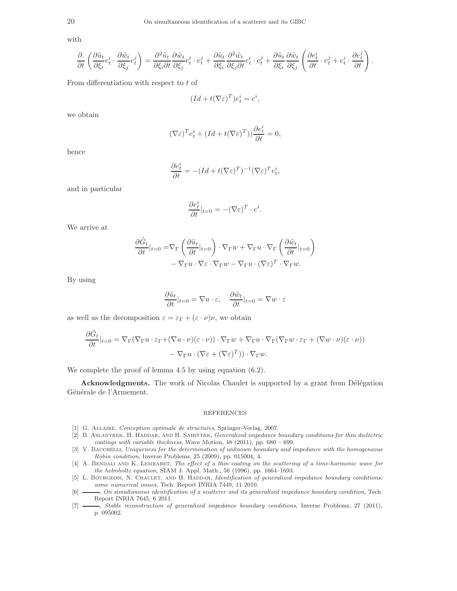with

$$
\frac{\partial}{\partial t} \left( \frac{\partial \tilde{u}_t}{\partial \xi_i} e^i_t \cdot \frac{\partial \tilde{w}_t}{\partial \xi_j} e^j_t \right) = \frac{\partial^2 \tilde{u}_t}{\partial \xi_i \partial t} \frac{\partial \tilde{w}_t}{\partial \xi_j} e^i_t \cdot e^j_t + \frac{\partial \tilde{u}_t}{\partial \xi_i} \frac{\partial^2 \tilde{w}_t}{\partial \xi_j \partial t} e^i_t \cdot e^j_t + \frac{\partial \tilde{u}_t}{\partial \xi_i} \frac{\partial \tilde{w}_t}{\partial \xi_j} \left( \frac{\partial e^i_t}{\partial t} \cdot e^j_t + e^i_t \cdot \frac{\partial e^j_t}{\partial t} \right).
$$

From differentiation with respect to  $t$  of

$$
(Id + t(\nabla \varepsilon)^T)e_t^i = e^i,
$$

we obtain

$$
(\nabla \varepsilon)^T e_t^i + (Id + t(\nabla \varepsilon)^T)) \frac{\partial e_t^i}{\partial t} = 0,
$$

hence

$$
\frac{\partial e_t^i}{\partial t} = -(Id + t(\nabla \varepsilon)^T)^{-1} (\nabla \varepsilon)^T e_t^i,
$$

and in particular

$$
\frac{\partial e_t^i}{\partial t}|_{t=0} = -(\nabla \varepsilon)^T \cdot e^i.
$$

We arrive at

$$
\frac{\partial \tilde{G}_t}{\partial t}|_{t=0} = \nabla_{\Gamma} \left( \frac{\partial \tilde{u}_t}{\partial t}|_{t=0} \right) \cdot \nabla_{\Gamma} w + \nabla_{\Gamma} u \cdot \nabla_{\Gamma} \left( \frac{\partial \tilde{w}_t}{\partial t}|_{t=0} \right) \n- \nabla_{\Gamma} u \cdot \nabla \varepsilon \cdot \nabla_{\Gamma} w - \nabla_{\Gamma} u \cdot (\nabla \varepsilon)^T \cdot \nabla_{\Gamma} w.
$$

By using

$$
\frac{\partial \tilde{u}_t}{\partial t}|_{t=0} = \nabla u \cdot \varepsilon, \quad \frac{\partial \tilde{w}_t}{\partial t}|_{t=0} = \nabla w \cdot \varepsilon
$$

as well as the decomposition  $\varepsilon = \varepsilon_{\Gamma} + (\varepsilon \cdot \nu)\nu$ , we obtain

$$
\frac{\partial \tilde{G}_t}{\partial t}|_{t=0} = \nabla_{\Gamma}(\nabla_{\Gamma}u \cdot \varepsilon_{\Gamma} + (\nabla u \cdot \nu)(\varepsilon \cdot \nu)) \cdot \nabla_{\Gamma}w + \nabla_{\Gamma}u \cdot \nabla_{\Gamma}(\nabla_{\Gamma}w \cdot \varepsilon_{\Gamma} + (\nabla w \cdot \nu)(\varepsilon \cdot \nu)) - \nabla_{\Gamma}u \cdot (\nabla \varepsilon + (\nabla \varepsilon)^T)) \cdot \nabla_{\Gamma}w.
$$

We complete the proof of lemma 4.5 by using equation (6.2).

Acknowledgments. The work of Nicolas Chaulet is supported by a grant from Délégation Générale de l'Armement.

## REFERENCES

- [1] G. Allaire, Conception optimale de structures, Springer-Verlag, 2007.
- [2] B. ASLANYREK, H. HADDAR, AND H. SAHINTRK, Generalized impedance boundary conditions for thin dielectric coatings with variable thickness, Wave Motion, 48 (2011), pp. 680 – 699.
- [3] V. BACCHELLI, Uniqueness for the determination of unknown boundary and impedance with the homogeneous Robin condition, Inverse Problems, 25 (2009), pp. 015004, 4.
- [4] A. Bendali and K. Lemrabet, The effect of a thin coating on the scattering of a time-harmonic wave for the helmholtz equation, SIAM J. Appl. Math., 56 (1996), pp. 1664–1693.
- [5] L. BOURGEOIS, N. CHAULET, AND H. HADDAR, Identification of generalized impedance boundary conditions: some numerical issues, Tech. Report INRIA 7449, 11 2010.
- [6]  $\longrightarrow$ , On simultaneous identification of a scatterer and its generalized impedance boundary condition, Tech. Report INRIA 7645, 6 2011.
- [7] , Stable reconstruction of generalized impedance boundary conditions, Inverse Problems, 27 (2011), p. 095002.